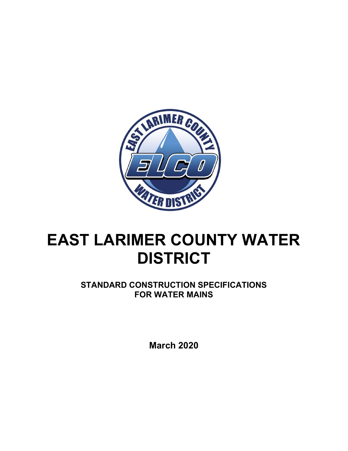

# EAST LARIMER COUNTY WATER **DISTRICT**

STANDARD CONSTRUCTION SPECIFICATIONS FOR WATER MAINS

March 2020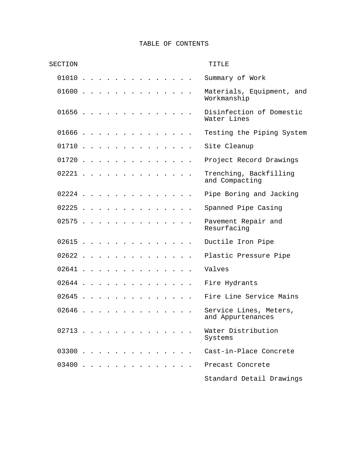# TABLE OF CONTENTS

| SECTION  |  |  |  |  |          |  |  | TITLE                                       |
|----------|--|--|--|--|----------|--|--|---------------------------------------------|
| $01010$  |  |  |  |  |          |  |  | Summary of Work                             |
| $01600$  |  |  |  |  | $\cdots$ |  |  | Materials, Equipment, and<br>Workmanship    |
| $01656$  |  |  |  |  |          |  |  | Disinfection of Domestic<br>Water Lines     |
| $01666$  |  |  |  |  |          |  |  | Testing the Piping System                   |
| 01710    |  |  |  |  |          |  |  | Site Cleanup                                |
| $01720$  |  |  |  |  |          |  |  | Project Record Drawings                     |
| $02221$  |  |  |  |  |          |  |  | Trenching, Backfilling<br>and Compacting    |
| 02224    |  |  |  |  |          |  |  | Pipe Boring and Jacking                     |
| $02225$  |  |  |  |  |          |  |  | Spanned Pipe Casing                         |
| $02575$  |  |  |  |  |          |  |  | Pavement Repair and<br>Resurfacing          |
| $02615$  |  |  |  |  |          |  |  | Ductile Iron Pipe                           |
| 02622    |  |  |  |  |          |  |  | Plastic Pressure Pipe                       |
| $02641$  |  |  |  |  |          |  |  | Valves                                      |
| 02644    |  |  |  |  |          |  |  | Fire Hydrants                               |
| $0.2645$ |  |  |  |  |          |  |  | Fire Line Service Mains                     |
| $02646$  |  |  |  |  |          |  |  | Service Lines, Meters,<br>and Appurtenances |
| $02713$  |  |  |  |  |          |  |  | Water Distribution<br>Systems               |
| 03300    |  |  |  |  |          |  |  | Cast-in-Place Concrete                      |
| 03400    |  |  |  |  |          |  |  | Precast Concrete                            |
|          |  |  |  |  |          |  |  | Standard Detail Drawings                    |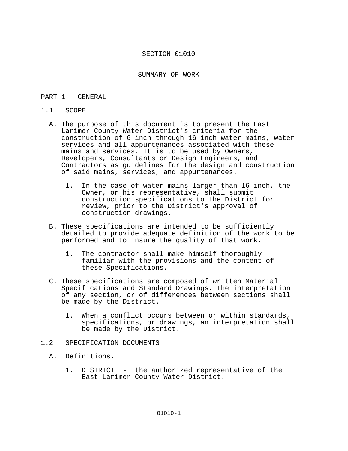SUMMARY OF WORK

## PART 1 - GENERAL

## 1.1 SCOPE

- A. The purpose of this document is to present the East Larimer County Water District's criteria for the construction of 6-inch through 16-inch water mains, water services and all appurtenances associated with these mains and services. It is to be used by Owners, Developers, Consultants or Design Engineers, and Contractors as guidelines for the design and construction of said mains, services, and appurtenances.
	- 1. In the case of water mains larger than 16-inch, the Owner, or his representative, shall submit construction specifications to the District for review, prior to the District's approval of construction drawings.
- B. These specifications are intended to be sufficiently detailed to provide adequate definition of the work to be performed and to insure the quality of that work.
	- 1. The contractor shall make himself thoroughly familiar with the provisions and the content of these Specifications.
- C. These specifications are composed of written Material Specifications and Standard Drawings. The interpretation of any section, or of differences between sections shall be made by the District.
	- 1. When a conflict occurs between or within standards, specifications, or drawings, an interpretation shall be made by the District.

# 1.2 SPECIFICATION DOCUMENTS

- A. Definitions.
	- 1. DISTRICT the authorized representative of the East Larimer County Water District.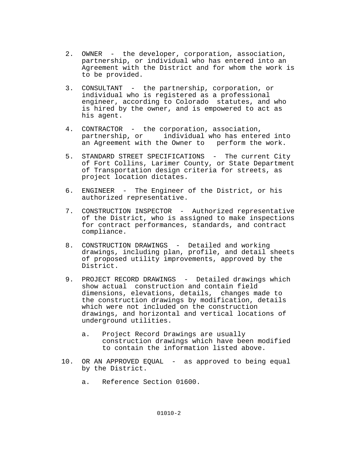- 2. OWNER the developer, corporation, association, partnership, or individual who has entered into an Agreement with the District and for whom the work is to be provided.
- 3. CONSULTANT the partnership, corporation, or individual who is registered as a professional engineer, according to Colorado statutes, and who is hired by the owner, and is empowered to act as his agent.
- 4. CONTRACTOR the corporation, association, partnership, or individual who has entered into an Agreement with the Owner to perform the work.
- 5. STANDARD STREET SPECIFICATIONS The current City of Fort Collins, Larimer County, or State Department of Transportation design criteria for streets, as project location dictates.
- 6. ENGINEER The Engineer of the District, or his authorized representative.
- 7. CONSTRUCTION INSPECTOR Authorized representative of the District, who is assigned to make inspections for contract performances, standards, and contract compliance.
- 8. CONSTRUCTION DRAWINGS Detailed and working drawings, including plan, profile, and detail sheets of proposed utility improvements, approved by the District.
- 9. PROJECT RECORD DRAWINGS Detailed drawings which show actual construction and contain field dimensions, elevations, details, changes made to the construction drawings by modification, details which were not included on the construction drawings, and horizontal and vertical locations of underground utilities.
	- a. Project Record Drawings are usually construction drawings which have been modified to contain the information listed above.
- 10. OR AN APPROVED EQUAL as approved to being equal by the District.
	- a. Reference Section 01600.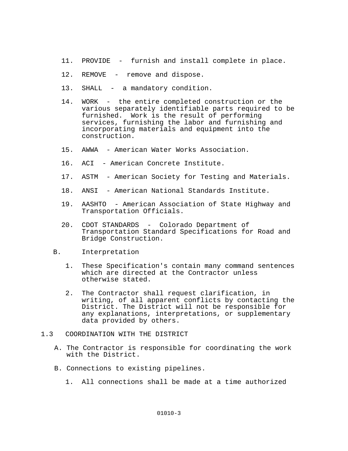- 11. PROVIDE furnish and install complete in place.
- 12. REMOVE remove and dispose.
- 13. SHALL a mandatory condition.
- 14. WORK the entire completed construction or the various separately identifiable parts required to be furnished. Work is the result of performing services, furnishing the labor and furnishing and incorporating materials and equipment into the construction.
- 15. AWWA American Water Works Association.
- 16. ACI American Concrete Institute.
- 17. ASTM American Society for Testing and Materials.
- 18. ANSI American National Standards Institute.
- 19. AASHTO American Association of State Highway and Transportation Officials.
- 20. CDOT STANDARDS Colorado Department of Transportation Standard Specifications for Road and Bridge Construction.
- B. Interpretation
	- 1. These Specification's contain many command sentences which are directed at the Contractor unless otherwise stated.
	- 2. The Contractor shall request clarification, in writing, of all apparent conflicts by contacting the District. The District will not be responsible for any explanations, interpretations, or supplementary data provided by others.
- 1.3 COORDINATION WITH THE DISTRICT
	- A. The Contractor is responsible for coordinating the work with the District.
	- B. Connections to existing pipelines.
		- 1. All connections shall be made at a time authorized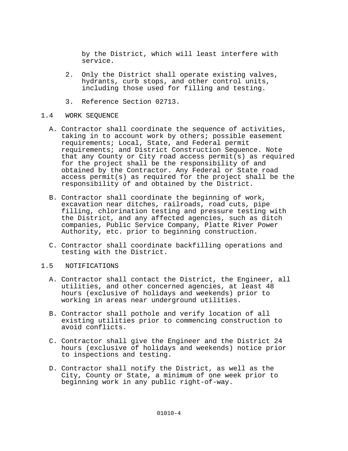by the District, which will least interfere with service.

- 2. Only the District shall operate existing valves, hydrants, curb stops, and other control units, including those used for filling and testing.
- 3. Reference Section 02713.

# 1.4 WORK SEQUENCE

- A. Contractor shall coordinate the sequence of activities, taking in to account work by others; possible easement requirements; Local, State, and Federal permit requirements; and District Construction Sequence. Note that any County or City road access permit(s) as required for the project shall be the responsibility of and obtained by the Contractor. Any Federal or State road access permit(s) as required for the project shall be the responsibility of and obtained by the District.
- B. Contractor shall coordinate the beginning of work, excavation near ditches, railroads, road cuts, pipe filling, chlorination testing and pressure testing with the District, and any affected agencies, such as ditch companies, Public Service Company, Platte River Power Authority, etc. prior to beginning construction.
- C. Contractor shall coordinate backfilling operations and testing with the District.
- 1.5 NOTIFICATIONS
	- A. Contractor shall contact the District, the Engineer, all utilities, and other concerned agencies, at least 48 hours (exclusive of holidays and weekends) prior to working in areas near underground utilities.
	- B. Contractor shall pothole and verify location of all existing utilities prior to commencing construction to avoid conflicts.
	- C. Contractor shall give the Engineer and the District 24 hours (exclusive of holidays and weekends) notice prior to inspections and testing.
	- D. Contractor shall notify the District, as well as the City, County or State, a minimum of one week prior to beginning work in any public right-of-way.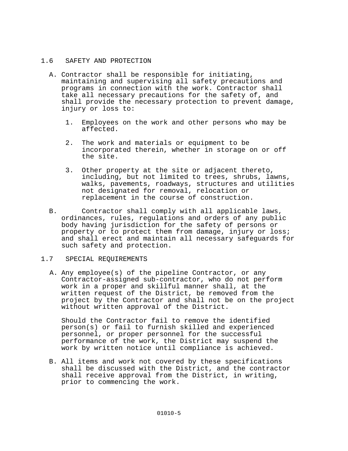# 1.6 SAFETY AND PROTECTION

- A. Contractor shall be responsible for initiating, maintaining and supervising all safety precautions and programs in connection with the work. Contractor shall take all necessary precautions for the safety of, and shall provide the necessary protection to prevent damage, injury or loss to:
	- 1. Employees on the work and other persons who may be affected.
	- 2. The work and materials or equipment to be incorporated therein, whether in storage on or off the site.
	- 3. Other property at the site or adjacent thereto, including, but not limited to trees, shrubs, lawns, walks, pavements, roadways, structures and utilities not designated for removal, relocation or replacement in the course of construction.
- B. Contractor shall comply with all applicable laws, ordinances, rules, regulations and orders of any public body having jurisdiction for the safety of persons or property or to protect them from damage, injury or loss; and shall erect and maintain all necessary safeguards for such safety and protection.

# 1.7 SPECIAL REQUIREMENTS

A. Any employee(s) of the pipeline Contractor, or any Contractor-assigned sub-contractor, who do not perform work in a proper and skillful manner shall, at the written request of the District, be removed from the project by the Contractor and shall not be on the project without written approval of the District.

Should the Contractor fail to remove the identified person(s) or fail to furnish skilled and experienced personnel, or proper personnel for the successful performance of the work, the District may suspend the work by written notice until compliance is achieved.

 B. All items and work not covered by these specifications shall be discussed with the District, and the contractor shall receive approval from the District, in writing, prior to commencing the work.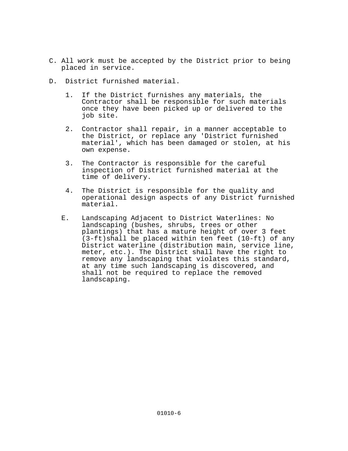- C. All work must be accepted by the District prior to being placed in service.
- D. District furnished material.
	- 1. If the District furnishes any materials, the Contractor shall be responsible for such materials once they have been picked up or delivered to the job site.
	- 2. Contractor shall repair, in a manner acceptable to the District, or replace any 'District furnished material', which has been damaged or stolen, at his own expense.
	- 3. The Contractor is responsible for the careful inspection of District furnished material at the time of delivery.
	- 4. The District is responsible for the quality and operational design aspects of any District furnished material.
	- E. Landscaping Adjacent to District Waterlines: No landscaping (bushes, shrubs, trees or other plantings) that has a mature height of over 3 feet  $(3-ft)$ shall be placed within ten feet (10-ft) of any District waterline (distribution main, service line, meter, etc.). The District shall have the right to remove any landscaping that violates this standard, at any time such landscaping is discovered, and shall not be required to replace the removed landscaping.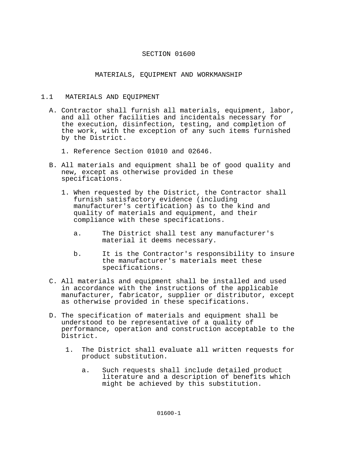# MATERIALS, EQUIPMENT AND WORKMANSHIP

## 1.1 MATERIALS AND EQUIPMENT

- A. Contractor shall furnish all materials, equipment, labor, and all other facilities and incidentals necessary for the execution, disinfection, testing, and completion of the work, with the exception of any such items furnished by the District.
	- 1. Reference Section 01010 and 02646.
- B. All materials and equipment shall be of good quality and new, except as otherwise provided in these specifications.
	- 1. When requested by the District, the Contractor shall furnish satisfactory evidence (including manufacturer's certification) as to the kind and quality of materials and equipment, and their compliance with these specifications.
		- a. The District shall test any manufacturer's material it deems necessary.
		- b. It is the Contractor's responsibility to insure the manufacturer's materials meet these specifications.
- C. All materials and equipment shall be installed and used in accordance with the instructions of the applicable manufacturer, fabricator, supplier or distributor, except as otherwise provided in these specifications.
- D. The specification of materials and equipment shall be understood to be representative of a quality of performance, operation and construction acceptable to the District.
	- 1. The District shall evaluate all written requests for product substitution.
		- a. Such requests shall include detailed product literature and a description of benefits which might be achieved by this substitution.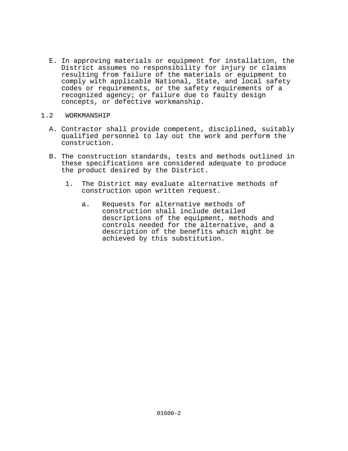- E. In approving materials or equipment for installation, the District assumes no responsibility for injury or claims resulting from failure of the materials or equipment to comply with applicable National, State, and local safety codes or requirements, or the safety requirements of a recognized agency; or failure due to faulty design concepts, or defective workmanship.
- 1.2 WORKMANSHIP
	- A. Contractor shall provide competent, disciplined, suitably qualified personnel to lay out the work and perform the construction.
	- B. The construction standards, tests and methods outlined in these specifications are considered adequate to produce the product desired by the District.
		- 1. The District may evaluate alternative methods of construction upon written request.
			- a. Requests for alternative methods of construction shall include detailed descriptions of the equipment, methods and controls needed for the alternative, and a description of the benefits which might be achieved by this substitution.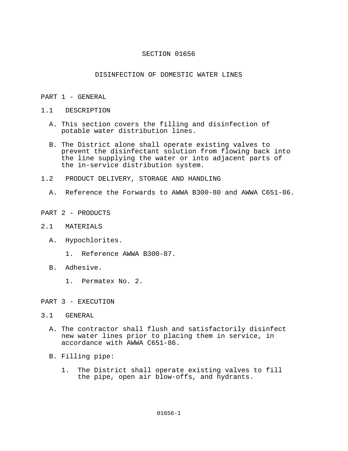# DISINFECTION OF DOMESTIC WATER LINES

## PART 1 - GENERAL

- 1.1 DESCRIPTION
	- A. This section covers the filling and disinfection of potable water distribution lines.
	- B. The District alone shall operate existing valves to prevent the disinfectant solution from flowing back into the line supplying the water or into adjacent parts of the in-service distribution system.
- 1.2 PRODUCT DELIVERY, STORAGE AND HANDLING
	- A. Reference the Forwards to AWWA B300-80 and AWWA C651-86.
- PART 2 PRODUCTS
- 2.1 MATERIALS
	- A. Hypochlorites.
		- 1. Reference AWWA B300-87.
	- B. Adhesive.
		- 1. Permatex No. 2.
- PART 3 EXECUTION
- 3.1 GENERAL
	- A. The contractor shall flush and satisfactorily disinfect new water lines prior to placing them in service, in accordance with AWWA C651-86.
	- B. Filling pipe:
		- 1. The District shall operate existing valves to fill the pipe, open air blow-offs, and hydrants.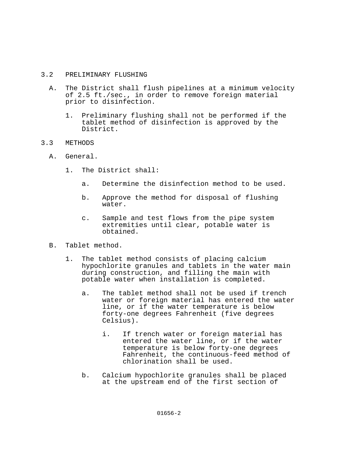# 3.2 PRELIMINARY FLUSHING

- A. The District shall flush pipelines at a minimum velocity of 2.5 ft./sec., in order to remove foreign material prior to disinfection.
	- 1. Preliminary flushing shall not be performed if the tablet method of disinfection is approved by the District.
- 3.3 METHODS
	- A. General.
		- 1. The District shall:
			- a. Determine the disinfection method to be used.
			- b. Approve the method for disposal of flushing water.
			- c. Sample and test flows from the pipe system extremities until clear, potable water is obtained.
	- B. Tablet method.
		- 1. The tablet method consists of placing calcium hypochlorite granules and tablets in the water main during construction, and filling the main with potable water when installation is completed.
			- a. The tablet method shall not be used if trench water or foreign material has entered the water line, or if the water temperature is below forty-one degrees Fahrenheit (five degrees Celsius).
				- i. If trench water or foreign material has entered the water line, or if the water temperature is below forty-one degrees Fahrenheit, the continuous-feed method of chlorination shall be used.
			- b. Calcium hypochlorite granules shall be placed at the upstream end of the first section of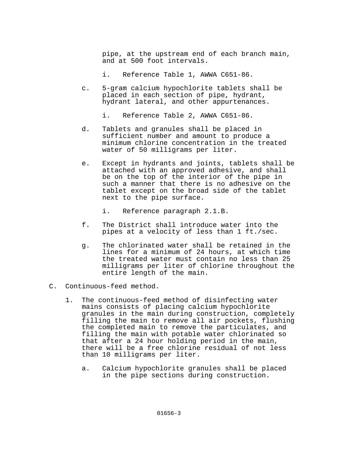pipe, at the upstream end of each branch main, and at 500 foot intervals.

- i. Reference Table 1, AWWA C651-86.
- c. 5-gram calcium hypochlorite tablets shall be placed in each section of pipe, hydrant, hydrant lateral, and other appurtenances.
	- i. Reference Table 2, AWWA C651-86.
- d. Tablets and granules shall be placed in sufficient number and amount to produce a minimum chlorine concentration in the treated water of 50 milligrams per liter.
- e. Except in hydrants and joints, tablets shall be attached with an approved adhesive, and shall be on the top of the interior of the pipe in such a manner that there is no adhesive on the tablet except on the broad side of the tablet next to the pipe surface.
	- i. Reference paragraph 2.1.B.
- f. The District shall introduce water into the pipes at a velocity of less than 1 ft./sec.
- g. The chlorinated water shall be retained in the lines for a minimum of 24 hours, at which time the treated water must contain no less than 25 milligrams per liter of chlorine throughout the entire length of the main.
- C. Continuous-feed method.
	- 1. The continuous-feed method of disinfecting water mains consists of placing calcium hypochlorite granules in the main during construction, completely filling the main to remove all air pockets, flushing the completed main to remove the particulates, and filling the main with potable water chlorinated so that after a 24 hour holding period in the main, there will be a free chlorine residual of not less than 10 milligrams per liter.
		- a. Calcium hypochlorite granules shall be placed in the pipe sections during construction.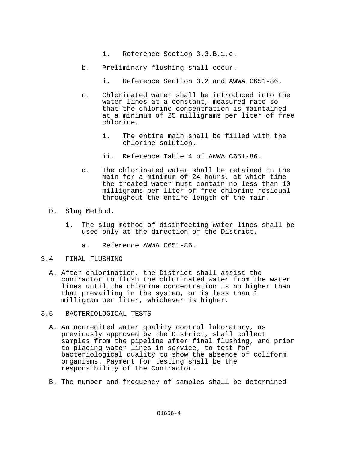- i. Reference Section 3.3.B.1.c.
- b. Preliminary flushing shall occur.
	- i. Reference Section 3.2 and AWWA C651-86.
- c. Chlorinated water shall be introduced into the water lines at a constant, measured rate so that the chlorine concentration is maintained at a minimum of 25 milligrams per liter of free chlorine.
	- i. The entire main shall be filled with the chlorine solution.
	- ii. Reference Table 4 of AWWA C651-86.
- d. The chlorinated water shall be retained in the main for a minimum of 24 hours, at which time the treated water must contain no less than 10 milligrams per liter of free chlorine residual throughout the entire length of the main.
- D. Slug Method.
	- 1. The slug method of disinfecting water lines shall be used only at the direction of the District.
		- a. Reference AWWA C651-86.

#### 3.4 FINAL FLUSHING

- A. After chlorination, the District shall assist the contractor to flush the chlorinated water from the water lines until the chlorine concentration is no higher than that prevailing in the system, or is less than 1 milligram per liter, whichever is higher.
- 3.5 BACTERIOLOGICAL TESTS
	- A. An accredited water quality control laboratory, as previously approved by the District, shall collect samples from the pipeline after final flushing, and prior to placing water lines in service, to test for bacteriological quality to show the absence of coliform organisms. Payment for testing shall be the responsibility of the Contractor.
	- B. The number and frequency of samples shall be determined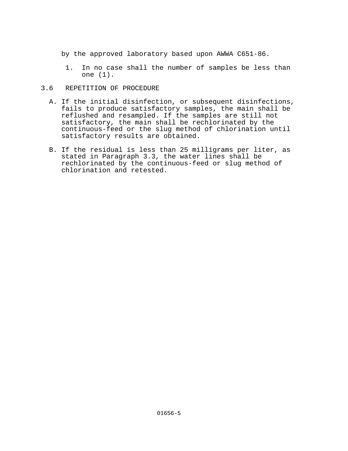by the approved laboratory based upon AWWA C651-86.

 1. In no case shall the number of samples be less than one (1).

# 3.6 REPETITION OF PROCEDURE

- A. If the initial disinfection, or subsequent disinfections, fails to produce satisfactory samples, the main shall be reflushed and resampled. If the samples are still not satisfactory, the main shall be rechlorinated by the continuous-feed or the slug method of chlorination until satisfactory results are obtained.
- B. If the residual is less than 25 milligrams per liter, as stated in Paragraph 3.3, the water lines shall be rechlorinated by the continuous-feed or slug method of chlorination and retested.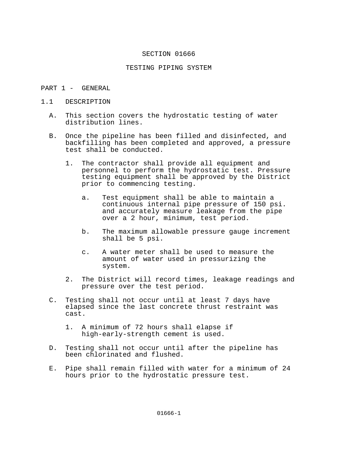#### TESTING PIPING SYSTEM

- PART 1 GENERAL
- 1.1 DESCRIPTION
	- A. This section covers the hydrostatic testing of water distribution lines.
	- B. Once the pipeline has been filled and disinfected, and backfilling has been completed and approved, a pressure test shall be conducted.
		- 1. The contractor shall provide all equipment and personnel to perform the hydrostatic test. Pressure testing equipment shall be approved by the District prior to commencing testing.
			- a. Test equipment shall be able to maintain a continuous internal pipe pressure of 150 psi. and accurately measure leakage from the pipe over a 2 hour, minimum, test period.
			- b. The maximum allowable pressure gauge increment shall be 5 psi.
			- c. A water meter shall be used to measure the amount of water used in pressurizing the system.
		- 2. The District will record times, leakage readings and pressure over the test period.
	- C. Testing shall not occur until at least 7 days have elapsed since the last concrete thrust restraint was cast.
		- 1. A minimum of 72 hours shall elapse if high-early-strength cement is used.
	- D. Testing shall not occur until after the pipeline has been chlorinated and flushed.
	- E. Pipe shall remain filled with water for a minimum of 24 hours prior to the hydrostatic pressure test.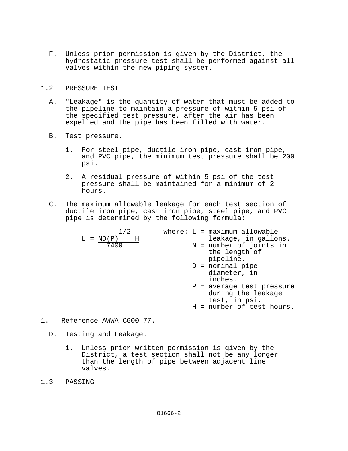F. Unless prior permission is given by the District, the hydrostatic pressure test shall be performed against all valves within the new piping system.

## 1.2 PRESSURE TEST

- A. "Leakage" is the quantity of water that must be added to the pipeline to maintain a pressure of within 5 psi of the specified test pressure, after the air has been expelled and the pipe has been filled with water.
- B. Test pressure.
	- 1. For steel pipe, ductile iron pipe, cast iron pipe, and PVC pipe, the minimum test pressure shall be 200 psi.
	- 2. A residual pressure of within 5 psi of the test pressure shall be maintained for a minimum of 2 hours.
- C. The maximum allowable leakage for each test section of ductile iron pipe, cast iron pipe, steel pipe, and PVC pipe is determined by the following formula:

| 1/2                       |  | where: $L = maximum$ allowable |
|---------------------------|--|--------------------------------|
| $L = ND(P)$<br>$_{\rm H}$ |  | leakage, in gallons.           |
| 7400                      |  | N = number of joints in        |
|                           |  | the length of                  |
|                           |  | pipeline.                      |
|                           |  | $D =$ nominal pipe             |
|                           |  | diameter, in                   |
|                           |  | inches.                        |
|                           |  | $P = average test pressure$    |
|                           |  | during the leakage             |
|                           |  | test, in psi.                  |
|                           |  | H = number of test hours.      |
|                           |  |                                |

- $1.$ 1. Reference AWWA C600-77.
	- D. Testing and Leakage.
		- 1. Unless prior written permission is given by the District, a test section shall not be any longer than the length of pipe between adjacent line valves.
- 1.3 PASSING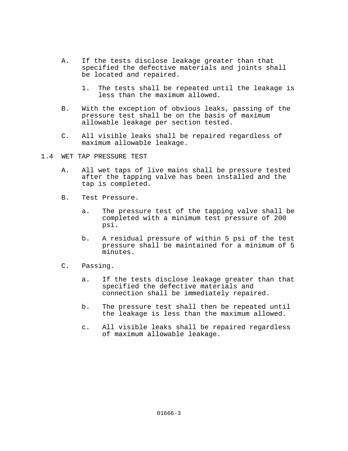- A. If the tests disclose leakage greater than that specified the defective materials and joints shall be located and repaired.
	- 1. The tests shall be repeated until the leakage is less than the maximum allowed.
- B. With the exception of obvious leaks, passing of the pressure test shall be on the basis of maximum allowable leakage per section tested.
- C. All visible leaks shall be repaired regardless of maximum allowable leakage.
- 1.4 WET TAP PRESSURE TEST
	- A. All wet taps of live mains shall be pressure tested after the tapping valve has been installed and the tap is completed.
	- B. Test Pressure.
		- a. The pressure test of the tapping valve shall be completed with a minimum test pressure of 200 psi.
		- b. A residual pressure of within 5 psi of the test pressure shall be maintained for a minimum of 5 minutes.
	- C. Passing.
		- a. If the tests disclose leakage greater than that specified the defective materials and connection shall be immediately repaired.
		- b. The pressure test shall then be repeated until the leakage is less than the maximum allowed.
		- c. All visible leaks shall be repaired regardless of maximum allowable leakage.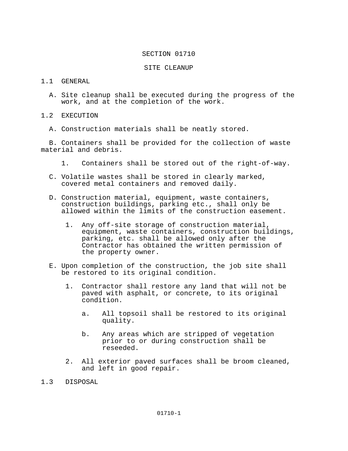## SITE CLEANUP

# 1.1 GENERAL

 A. Site cleanup shall be executed during the progress of the work, and at the completion of the work.

1.2 EXECUTION

A. Construction materials shall be neatly stored.

 B. Containers shall be provided for the collection of waste material and debris.

- 1. Containers shall be stored out of the right-of-way.
- C. Volatile wastes shall be stored in clearly marked, covered metal containers and removed daily.
- D. Construction material, equipment, waste containers, construction buildings, parking etc., shall only be allowed within the limits of the construction easement.
	- 1. Any off-site storage of construction material, equipment, waste containers, construction buildings, parking, etc. shall be allowed only after the Contractor has obtained the written permission of the property owner.
- E. Upon completion of the construction, the job site shall be restored to its original condition.
	- 1. Contractor shall restore any land that will not be paved with asphalt, or concrete, to its original condition.
		- a. All topsoil shall be restored to its original quality.
		- b. Any areas which are stripped of vegetation prior to or during construction shall be reseeded.
	- 2. All exterior paved surfaces shall be broom cleaned, and left in good repair.
- 1.3 DISPOSAL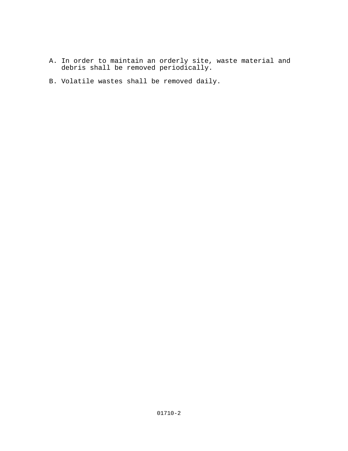- A. In order to maintain an orderly site, waste material and debris shall be removed periodically.
	- B. Volatile wastes shall be removed daily.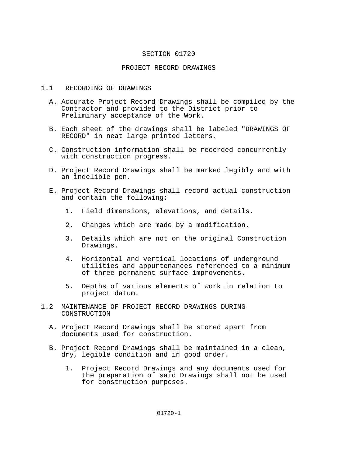## PROJECT RECORD DRAWINGS

## 1.1 RECORDING OF DRAWINGS

- A. Accurate Project Record Drawings shall be compiled by the Contractor and provided to the District prior to Preliminary acceptance of the Work.
- B. Each sheet of the drawings shall be labeled "DRAWINGS OF RECORD" in neat large printed letters.
- C. Construction information shall be recorded concurrently with construction progress.
- D. Project Record Drawings shall be marked legibly and with an indelible pen.
- E. Project Record Drawings shall record actual construction and contain the following:
	- 1. Field dimensions, elevations, and details.
	- 2. Changes which are made by a modification.
	- 3. Details which are not on the original Construction Drawings.
	- 4. Horizontal and vertical locations of underground utilities and appurtenances referenced to a minimum of three permanent surface improvements.
	- 5. Depths of various elements of work in relation to project datum.
- 1.2 MAINTENANCE OF PROJECT RECORD DRAWINGS DURING CONSTRUCTION
	- A. Project Record Drawings shall be stored apart from documents used for construction.
	- B. Project Record Drawings shall be maintained in a clean, dry, legible condition and in good order.
		- 1. Project Record Drawings and any documents used for the preparation of said Drawings shall not be used for construction purposes.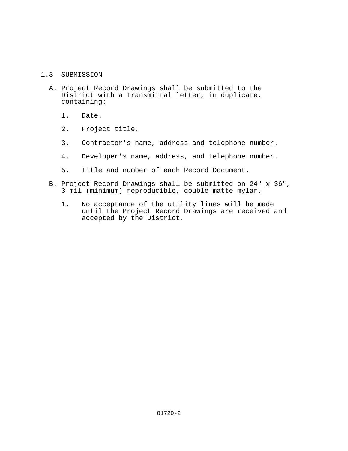# 1.3 SUBMISSION

- A. Project Record Drawings shall be submitted to the District with a transmittal letter, in duplicate, containing:
	- 1. Date.
	- 2. Project title.
	- 3. Contractor's name, address and telephone number.
	- 4. Developer's name, address, and telephone number.
	- 5. Title and number of each Record Document.
- B. Project Record Drawings shall be submitted on 24" x 36", 3 mil (minimum) reproducible, double-matte mylar.
	- 1. No acceptance of the utility lines will be made until the Project Record Drawings are received and accepted by the District.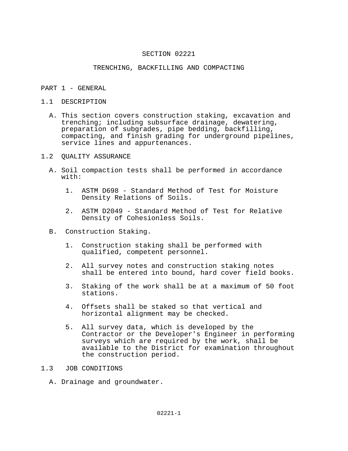## TRENCHING, BACKFILLING AND COMPACTING

## PART 1 - GENERAL

# 1.1 DESCRIPTION

 A. This section covers construction staking, excavation and trenching; including subsurface drainage, dewatering, preparation of subgrades, pipe bedding, backfilling, compacting, and finish grading for underground pipelines, service lines and appurtenances.

## 1.2 QUALITY ASSURANCE

- A. Soil compaction tests shall be performed in accordance with:
	- 1. ASTM D698 Standard Method of Test for Moisture Density Relations of Soils.
	- 2. ASTM D2049 Standard Method of Test for Relative Density of Cohesionless Soils.
- B. Construction Staking.
	- 1. Construction staking shall be performed with qualified, competent personnel.
	- 2. All survey notes and construction staking notes shall be entered into bound, hard cover field books.
	- 3. Staking of the work shall be at a maximum of 50 foot stations.
	- 4. Offsets shall be staked so that vertical and horizontal alignment may be checked.
	- 5. All survey data, which is developed by the Contractor or the Developer's Engineer in performing surveys which are required by the work, shall be available to the District for examination throughout the construction period.

# 1.3 JOB CONDITIONS

A. Drainage and groundwater.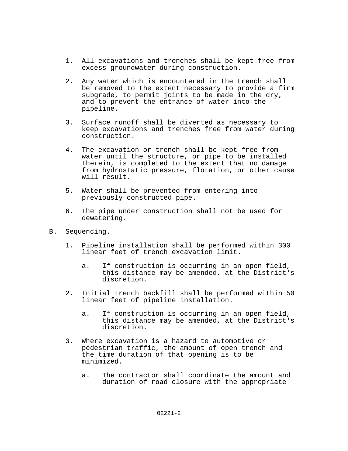- 1. All excavations and trenches shall be kept free from excess groundwater during construction.
- 2. Any water which is encountered in the trench shall be removed to the extent necessary to provide a firm subgrade, to permit joints to be made in the dry, and to prevent the entrance of water into the pipeline.
- 3. Surface runoff shall be diverted as necessary to keep excavations and trenches free from water during construction.
- 4. The excavation or trench shall be kept free from water until the structure, or pipe to be installed therein, is completed to the extent that no damage from hydrostatic pressure, flotation, or other cause will result.
- 5. Water shall be prevented from entering into previously constructed pipe.
- 6. The pipe under construction shall not be used for dewatering.
- B. Sequencing.
	- 1. Pipeline installation shall be performed within 300 linear feet of trench excavation limit.
		- a. If construction is occurring in an open field, this distance may be amended, at the District's discretion.
	- 2. Initial trench backfill shall be performed within 50 linear feet of pipeline installation.
		- a. If construction is occurring in an open field, this distance may be amended, at the District's discretion.
	- 3. Where excavation is a hazard to automotive or pedestrian traffic, the amount of open trench and the time duration of that opening is to be minimized.
		- a. The contractor shall coordinate the amount and duration of road closure with the appropriate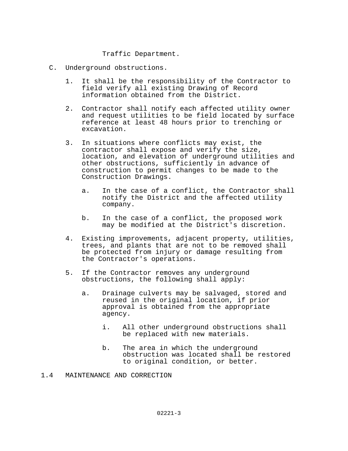Traffic Department.

- C. Underground obstructions.
	- 1. It shall be the responsibility of the Contractor to field verify all existing Drawing of Record information obtained from the District.
	- 2. Contractor shall notify each affected utility owner and request utilities to be field located by surface reference at least 48 hours prior to trenching or excavation.
	- 3. In situations where conflicts may exist, the contractor shall expose and verify the size, location, and elevation of underground utilities and other obstructions, sufficiently in advance of construction to permit changes to be made to the Construction Drawings.
		- a. In the case of a conflict, the Contractor shall notify the District and the affected utility company.
		- b. In the case of a conflict, the proposed work may be modified at the District's discretion.
	- 4. Existing improvements, adjacent property, utilities, trees, and plants that are not to be removed shall be protected from injury or damage resulting from the Contractor's operations.
	- 5. If the Contractor removes any underground obstructions, the following shall apply:
		- a. Drainage culverts may be salvaged, stored and reused in the original location, if prior approval is obtained from the appropriate agency.
			- i. All other underground obstructions shall be replaced with new materials.
			- b. The area in which the underground obstruction was located shall be restored to original condition, or better.
- 1.4 MAINTENANCE AND CORRECTION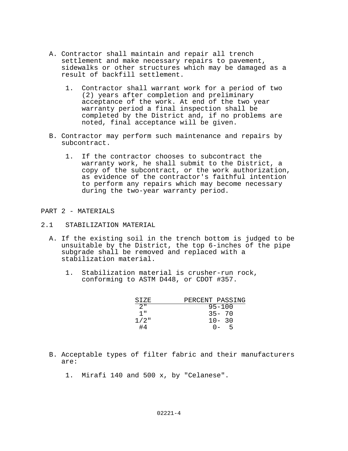- A. Contractor shall maintain and repair all trench settlement and make necessary repairs to pavement, sidewalks or other structures which may be damaged as a result of backfill settlement.
	- 1. Contractor shall warrant work for a period of two (2) years after completion and preliminary acceptance of the work. At end of the two year warranty period a final inspection shall be completed by the District and, if no problems are noted, final acceptance will be given.
- B. Contractor may perform such maintenance and repairs by subcontract.
	- 1. If the contractor chooses to subcontract the warranty work, he shall submit to the District, a copy of the subcontract, or the work authorization, as evidence of the contractor's faithful intention to perform any repairs which may become necessary during the two-year warranty period.

## PART 2 - MATERIALS

## 2.1 STABILIZATION MATERIAL

- A. If the existing soil in the trench bottom is judged to be unsuitable by the District, the top 6-inches of the pipe subgrade shall be removed and replaced with a stabilization material.
	- 1. Stabilization material is crusher-run rock, conforming to ASTM D448, or CDOT #357.

| STZE        | PERCENT PASSING |
|-------------|-----------------|
| $\Omega$ II | $95 - 100$      |
| יי 1        | $35 - 70$       |
| $1/2$ "     | $10 - 30$       |
| #4          | 5<br>$() -$     |

- B. Acceptable types of filter fabric and their manufacturers are:
	- 1. Mirafi 140 and 500 x, by "Celanese".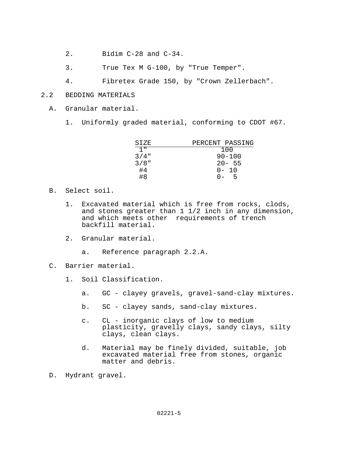- 2. Bidim C-28 and C-34.
- 3. True Tex M G-100, by "True Temper".
- 4. Fibretex Grade 150, by "Crown Zellerbach".

# 2.2 BEDDING MATERIALS

- A. Granular material.
	- 1. Uniformly graded material, conforming to CDOT #67.

| PERCENT PASSING |
|-----------------|
| 100             |
| $90 - 100$      |
| $20 - 55$       |
| $0 - 10$        |
| 5<br>$\Omega -$ |
|                 |

- B. Select soil.
	- 1. Excavated material which is free from rocks, clods, and stones greater than  $1 \frac{1}{2}$  inch in any dimension, and which meets other requirements of trench backfill material.
	- 2. Granular material.
		- a. Reference paragraph 2.2.A.
- C. Barrier material.
	- 1. Soil Classification.
		- a. GC clayey gravels, gravel-sand-clay mixtures.
		- b. SC clayey sands, sand-clay mixtures.
		- c. CL inorganic clays of low to medium plasticity, gravelly clays, sandy clays, silty clays, clean clays.
		- d. Material may be finely divided, suitable, job excavated material free from stones, organic matter and debris.
- D. Hydrant gravel.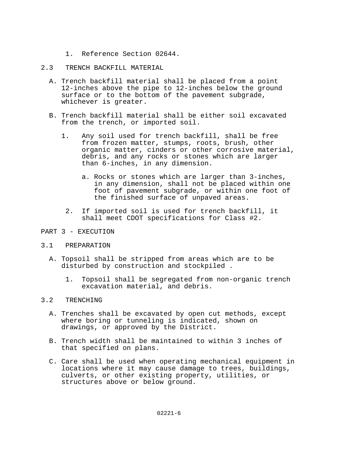- 1. Reference Section 02644.
- 2.3 TRENCH BACKFILL MATERIAL
	- A. Trench backfill material shall be placed from a point 12-inches above the pipe to 12-inches below the ground surface or to the bottom of the pavement subgrade, whichever is greater.
	- B. Trench backfill material shall be either soil excavated from the trench, or imported soil.
		- 1. Any soil used for trench backfill, shall be free from frozen matter, stumps, roots, brush, other organic matter, cinders or other corrosive material, debris, and any rocks or stones which are larger than 6-inches, in any dimension.
			- a. Rocks or stones which are larger than 3-inches, in any dimension, shall not be placed within one foot of pavement subgrade, or within one foot of the finished surface of unpaved areas.
			- 2. If imported soil is used for trench backfill, it shall meet CDOT specifications for Class #2.
- PART 3 EXECUTION
- 3.1 PREPARATION
	- A. Topsoil shall be stripped from areas which are to be disturbed by construction and stockpiled .
		- 1. Topsoil shall be segregated from non-organic trench excavation material, and debris.

# 3.2 TRENCHING

- A. Trenches shall be excavated by open cut methods, except where boring or tunneling is indicated, shown on drawings, or approved by the District.
- B. Trench width shall be maintained to within 3 inches of that specified on plans.
- C. Care shall be used when operating mechanical equipment in locations where it may cause damage to trees, buildings, culverts, or other existing property, utilities, or structures above or below ground.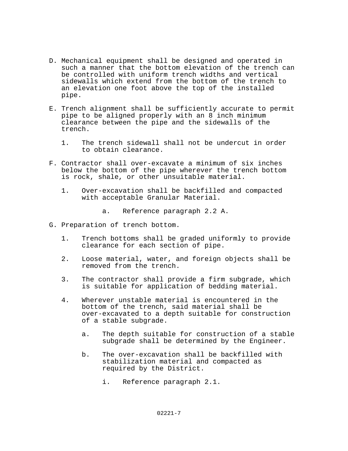- D. Mechanical equipment shall be designed and operated in such a manner that the bottom elevation of the trench can be controlled with uniform trench widths and vertical sidewalls which extend from the bottom of the trench to an elevation one foot above the top of the installed pipe.
- E. Trench alignment shall be sufficiently accurate to permit pipe to be aligned properly with an 8 inch minimum clearance between the pipe and the sidewalls of the trench.
	- 1. The trench sidewall shall not be undercut in order to obtain clearance.
- F. Contractor shall over-excavate a minimum of six inches below the bottom of the pipe wherever the trench bottom is rock, shale, or other unsuitable material.
	- 1. Over-excavation shall be backfilled and compacted with acceptable Granular Material.
		- a. Reference paragraph 2.2 A.
- G. Preparation of trench bottom.
	- 1. Trench bottoms shall be graded uniformly to provide clearance for each section of pipe.
	- 2. Loose material, water, and foreign objects shall be removed from the trench.
	- 3. The contractor shall provide a firm subgrade, which is suitable for application of bedding material.
	- 4. Wherever unstable material is encountered in the bottom of the trench, said material shall be over-excavated to a depth suitable for construction of a stable subgrade.
		- a. The depth suitable for construction of a stable subgrade shall be determined by the Engineer.
		- b. The over-excavation shall be backfilled with stabilization material and compacted as required by the District.
			- i. Reference paragraph 2.1.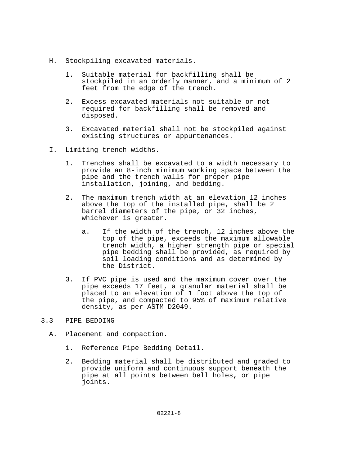- H. Stockpiling excavated materials.
	- 1. Suitable material for backfilling shall be stockpiled in an orderly manner, and a minimum of 2 feet from the edge of the trench.
	- 2. Excess excavated materials not suitable or not required for backfilling shall be removed and disposed.
	- 3. Excavated material shall not be stockpiled against existing structures or appurtenances.
- I. Limiting trench widths.
	- 1. Trenches shall be excavated to a width necessary to provide an 8-inch minimum working space between the pipe and the trench walls for proper pipe installation, joining, and bedding.
	- 2. The maximum trench width at an elevation 12 inches above the top of the installed pipe, shall be 2 barrel diameters of the pipe, or 32 inches, whichever is greater.
		- a. If the width of the trench, 12 inches above the top of the pipe, exceeds the maximum allowable trench width, a higher strength pipe or special pipe bedding shall be provided, as required by soil loading conditions and as determined by the District.
	- 3. If PVC pipe is used and the maximum cover over the pipe exceeds 17 feet, a granular material shall be placed to an elevation of 1 foot above the top of the pipe, and compacted to 95% of maximum relative density, as per ASTM D2049.

# 3.3 PIPE BEDDING

- A. Placement and compaction.
	- 1. Reference Pipe Bedding Detail.
	- 2. Bedding material shall be distributed and graded to provide uniform and continuous support beneath the pipe at all points between bell holes, or pipe joints.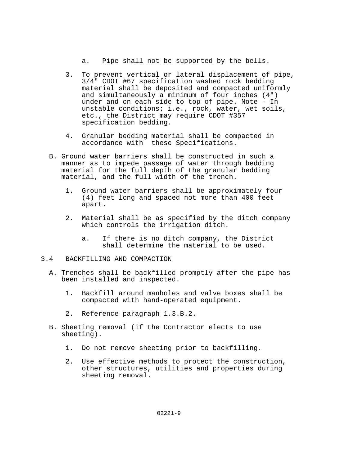a. Pipe shall not be supported by the bells.

- 3. To prevent vertical or lateral displacement of pipe, 3/4" CDOT #67 specification washed rock bedding material shall be deposited and compacted uniformly and simultaneously a minimum of four inches (4") under and on each side to top of pipe. Note - In unstable conditions; i.e., rock, water, wet soils, etc., the District may require CDOT #357 specification bedding.
- 4. Granular bedding material shall be compacted in accordance with these Specifications.
- B. Ground water barriers shall be constructed in such a manner as to impede passage of water through bedding material for the full depth of the granular bedding material, and the full width of the trench.
	- 1. Ground water barriers shall be approximately four (4) feet long and spaced not more than 400 feet apart.
	- 2. Material shall be as specified by the ditch company which controls the irrigation ditch.
		- a. If there is no ditch company, the District shall determine the material to be used.
- 3.4 BACKFILLING AND COMPACTION
	- A. Trenches shall be backfilled promptly after the pipe has been installed and inspected.
		- 1. Backfill around manholes and valve boxes shall be compacted with hand-operated equipment.
		- 2. Reference paragraph 1.3.B.2.
	- B. Sheeting removal (if the Contractor elects to use sheeting).
		- 1. Do not remove sheeting prior to backfilling.
		- 2. Use effective methods to protect the construction, other structures, utilities and properties during sheeting removal.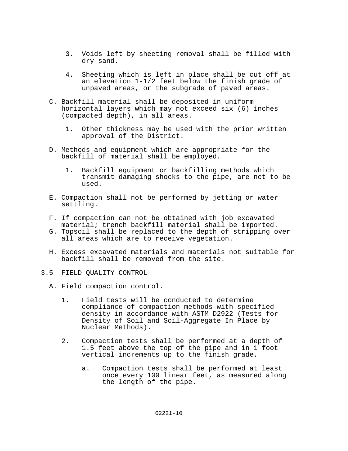- 3. Voids left by sheeting removal shall be filled with dry sand.
- 4. Sheeting which is left in place shall be cut off at an elevation 1-1/2 feet below the finish grade of unpaved areas, or the subgrade of paved areas.
- C. Backfill material shall be deposited in uniform horizontal layers which may not exceed six (6) inches (compacted depth), in all areas.
	- 1. Other thickness may be used with the prior written approval of the District.
- D. Methods and equipment which are appropriate for the backfill of material shall be employed.
	- 1. Backfill equipment or backfilling methods which transmit damaging shocks to the pipe, are not to be used.
- E. Compaction shall not be performed by jetting or water settling.
- F. If compaction can not be obtained with job excavated material; trench backfill material shall be imported.
- G. Topsoil shall be replaced to the depth of stripping over all areas which are to receive vegetation.
- H. Excess excavated materials and materials not suitable for backfill shall be removed from the site.
- 3.5 FIELD QUALITY CONTROL
	- A. Field compaction control.
		- 1. Field tests will be conducted to determine compliance of compaction methods with specified density in accordance with ASTM D2922 (Tests for Density of Soil and Soil-Aggregate In Place by Nuclear Methods).
		- 2. Compaction tests shall be performed at a depth of 1.5 feet above the top of the pipe and in 1 foot vertical increments up to the finish grade.
			- a. Compaction tests shall be performed at least once every 100 linear feet, as measured along the length of the pipe.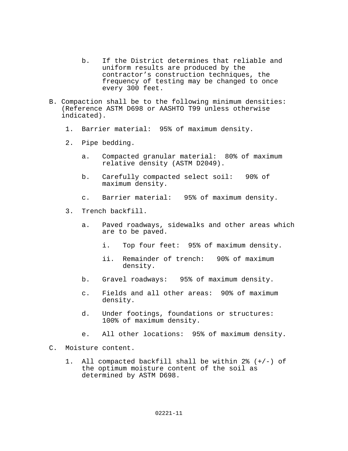- b. If the District determines that reliable and uniform results are produced by the contractor's construction techniques, the frequency of testing may be changed to once every 300 feet.
- B. Compaction shall be to the following minimum densities: (Reference ASTM D698 or AASHTO T99 unless otherwise indicated).
	- 1. Barrier material: 95% of maximum density.
	- 2. Pipe bedding.
		- a. Compacted granular material: 80% of maximum relative density (ASTM D2049).
		- b. Carefully compacted select soil: 90% of maximum density.
		- c. Barrier material: 95% of maximum density.
	- 3. Trench backfill.
		- a. Paved roadways, sidewalks and other areas which are to be paved.
			- i. Top four feet: 95% of maximum density.
			- ii. Remainder of trench: 90% of maximum density.
		- b. Gravel roadways: 95% of maximum density.
		- c. Fields and all other areas: 90% of maximum density.
		- d. Under footings, foundations or structures: 100% of maximum density.
		- e. All other locations: 95% of maximum density.
- C. Moisture content.
	- 1. All compacted backfill shall be within 2% (+/-) of the optimum moisture content of the soil as determined by ASTM D698.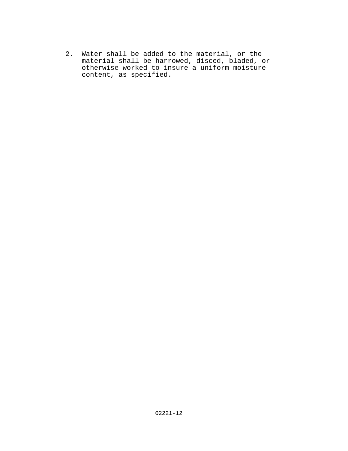2. Water shall be added to the material, or the material shall be harrowed, disced, bladed, or otherwise worked to insure a uniform moisture content, as specified.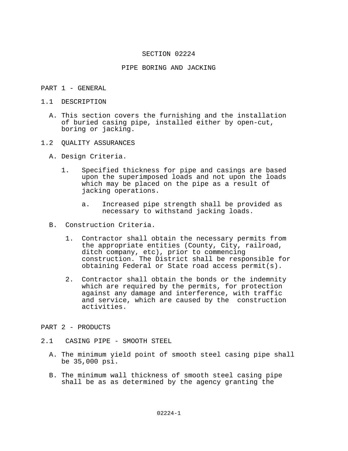## PIPE BORING AND JACKING

## PART 1 - GENERAL

- 1.1 DESCRIPTION
	- A. This section covers the furnishing and the installation of buried casing pipe, installed either by open-cut, boring or jacking.
- 1.2 QUALITY ASSURANCES
	- A. Design Criteria.
		- 1. Specified thickness for pipe and casings are based upon the superimposed loads and not upon the loads which may be placed on the pipe as a result of jacking operations.
			- a. Increased pipe strength shall be provided as necessary to withstand jacking loads.
	- B. Construction Criteria.
		- 1. Contractor shall obtain the necessary permits from the appropriate entities (County, City, railroad, ditch company, etc), prior to commencing construction. The District shall be responsible for obtaining Federal or State road access permit(s).
		- 2. Contractor shall obtain the bonds or the indemnity which are required by the permits, for protection against any damage and interference, with traffic and service, which are caused by the construction activities.
- PART 2 PRODUCTS
- 2.1 CASING PIPE SMOOTH STEEL
	- A. The minimum yield point of smooth steel casing pipe shall be 35,000 psi.
	- B. The minimum wall thickness of smooth steel casing pipe shall be as as determined by the agency granting the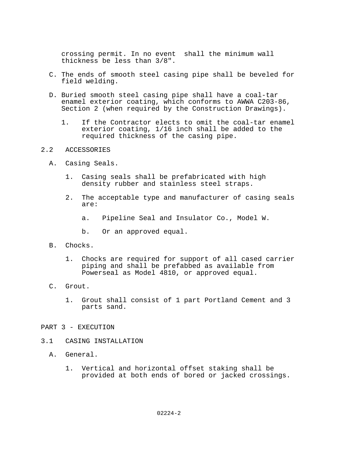crossing permit. In no event shall the minimum wall thickness be less than 3/8".

- C. The ends of smooth steel casing pipe shall be beveled for field welding.
- D. Buried smooth steel casing pipe shall have a coal-tar enamel exterior coating, which conforms to AWWA C203-86, Section 2 (when required by the Construction Drawings).
	- 1. If the Contractor elects to omit the coal-tar enamel exterior coating, 1/16 inch shall be added to the required thickness of the casing pipe.

## 2.2 ACCESSORIES

- A. Casing Seals.
	- 1. Casing seals shall be prefabricated with high density rubber and stainless steel straps.
	- 2. The acceptable type and manufacturer of casing seals are:
		- a. Pipeline Seal and Insulator Co., Model W.
		- b. Or an approved equal.
- B. Chocks.
	- 1. Chocks are required for support of all cased carrier piping and shall be prefabbed as available from Powerseal as Model 4810, or approved equal.
- C. Grout.
	- 1. Grout shall consist of 1 part Portland Cement and 3 parts sand.
- PART 3 EXECUTION
- 3.1 CASING INSTALLATION
	- A. General.
		- 1. Vertical and horizontal offset staking shall be provided at both ends of bored or jacked crossings.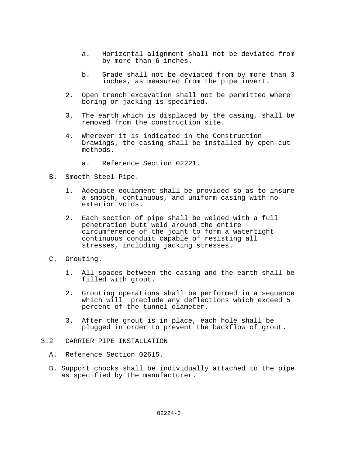- a. Horizontal alignment shall not be deviated from by more than 6 inches.
- b. Grade shall not be deviated from by more than 3 inches, as measured from the pipe invert.
- 2. Open trench excavation shall not be permitted where boring or jacking is specified.
- 3. The earth which is displaced by the casing, shall be removed from the construction site.
- 4. Wherever it is indicated in the Construction Drawings, the casing shall be installed by open-cut methods.
	- a. Reference Section 02221.
- B. Smooth Steel Pipe.
	- 1. Adequate equipment shall be provided so as to insure a smooth, continuous, and uniform casing with no exterior voids.
	- 2. Each section of pipe shall be welded with a full penetration butt weld around the entire circumference of the joint to form a watertight continuous conduit capable of resisting all stresses, including jacking stresses.
- C. Grouting.
	- 1. All spaces between the casing and the earth shall be filled with grout.
	- 2. Grouting operations shall be performed in a sequence which will preclude any deflections which exceed 5 percent of the tunnel diameter.
	- 3. After the grout is in place, each hole shall be plugged in order to prevent the backflow of grout.
- 3.2 CARRIER PIPE INSTALLATION
	- A. Reference Section 02615.
	- B. Support chocks shall be individually attached to the pipe as specified by the manufacturer.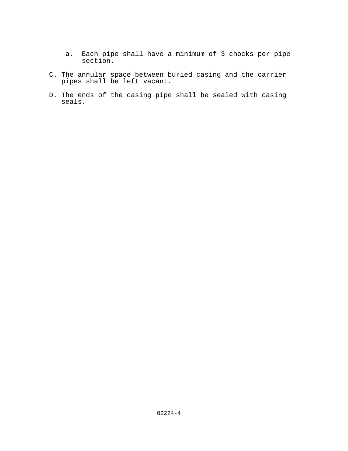- a. Each pipe shall have a minimum of 3 chocks per pipe section.
- C. The annular space between buried casing and the carrier pipes shall be left vacant.
- D. The ends of the casing pipe shall be sealed with casing seals.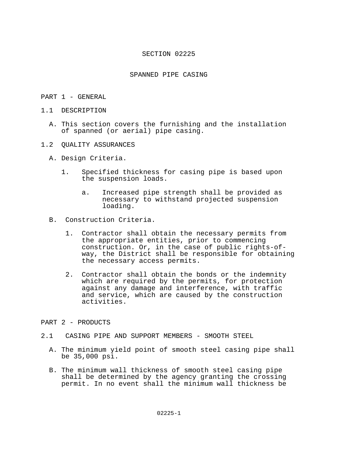### SPANNED PIPE CASING

### PART 1 - GENERAL

- 1.1 DESCRIPTION
	- A. This section covers the furnishing and the installation of spanned (or aerial) pipe casing.
- 1.2 QUALITY ASSURANCES
	- A. Design Criteria.
		- 1. Specified thickness for casing pipe is based upon the suspension loads.
			- a. Increased pipe strength shall be provided as necessary to withstand projected suspension loading.
	- B. Construction Criteria.
		- 1. Contractor shall obtain the necessary permits from the appropriate entities, prior to commencing<br>construction. Or, in the case of public rights-ofway, the District shall be responsible for obtaining the necessary access permits.
		- 2. Contractor shall obtain the bonds or the indemnity which are required by the permits, for protection against any damage and interference, with traffic and service, which are caused by the construction activities.

# PART 2 - PRODUCTS

- 2.1 CASING PIPE AND SUPPORT MEMBERS SMOOTH STEEL
	- A. The minimum yield point of smooth steel casing pipe shall be 35,000 psi.
	- B. The minimum wall thickness of smooth steel casing pipe shall be determined by the agency granting the crossing permit. In no event shall the minimum wall thickness be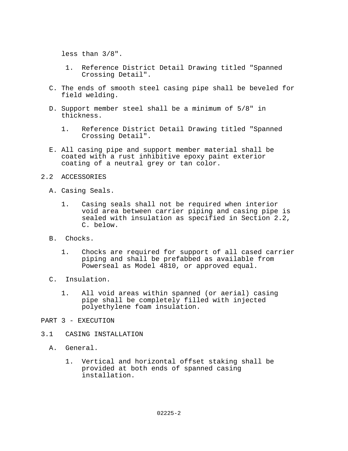less than 3/8".

- 1. Reference District Detail Drawing titled "Spanned Crossing Detail".
- C. The ends of smooth steel casing pipe shall be beveled for field welding.
- D. Support member steel shall be a minimum of 5/8" in thickness.
	- 1. Reference District Detail Drawing titled "Spanned Crossing Detail".
- E. All casing pipe and support member material shall be coated with a rust inhibitive epoxy paint exterior coating of a neutral grey or tan color.

### 2.2 ACCESSORIES

- A. Casing Seals.
	- 1. Casing seals shall not be required when interior void area between carrier piping and casing pipe is sealed with insulation as specified in Section 2.2, C. below.
- B. Chocks.
	- 1. Chocks are required for support of all cased carrier piping and shall be prefabbed as available from Powerseal as Model 4810, or approved equal.
- C. Insulation.
	- 1. All void areas within spanned (or aerial) casing pipe shall be completely filled with injected polyethylene foam insulation.
- PART 3 EXECUTION
- 3.1 CASING INSTALLATION
	- A. General.
		- 1. Vertical and horizontal offset staking shall be provided at both ends of spanned casing installation.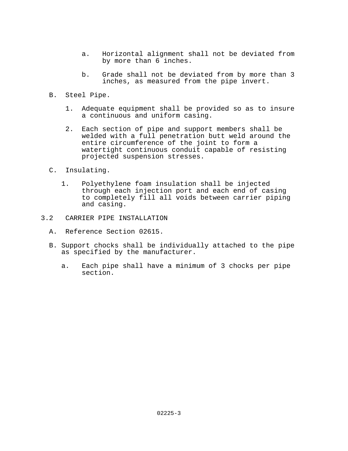- a. Horizontal alignment shall not be deviated from by more than 6 inches.
- b. Grade shall not be deviated from by more than 3 inches, as measured from the pipe invert.
- B. Steel Pipe.
	- 1. Adequate equipment shall be provided so as to insure a continuous and uniform casing.
	- 2. Each section of pipe and support members shall be welded with a full penetration butt weld around the entire circumference of the joint to form a watertight continuous conduit capable of resisting projected suspension stresses.
- C. Insulating.
	- 1. Polyethylene foam insulation shall be injected through each injection port and each end of casing to completely fill all voids between carrier piping and casing.
- 3.2 CARRIER PIPE INSTALLATION
	- A. Reference Section 02615.
	- B. Support chocks shall be individually attached to the pipe as specified by the manufacturer.
		- a. Each pipe shall have a minimum of 3 chocks per pipe section.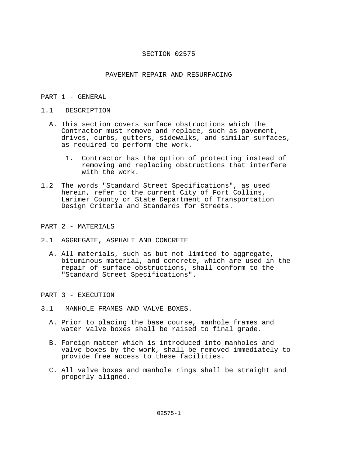### PAVEMENT REPAIR AND RESURFACING

### PART 1 - GENERAL

#### 1.1 DESCRIPTION

- A. This section covers surface obstructions which the Contractor must remove and replace, such as pavement, drives, curbs, gutters, sidewalks, and similar surfaces, as required to perform the work.
	- 1. Contractor has the option of protecting instead of removing and replacing obstructions that interfere with the work.
- 1.2 The words "Standard Street Specifications", as used herein, refer to the current City of Fort Collins, Larimer County or State Department of Transportation Design Criteria and Standards for Streets.

### PART 2 - MATERIALS

- 2.1 AGGREGATE, ASPHALT AND CONCRETE
	- A. All materials, such as but not limited to aggregate, bituminous material, and concrete, which are used in the repair of surface obstructions, shall conform to the "Standard Street Specifications".
- PART 3 EXECUTION
- 3.1 MANHOLE FRAMES AND VALVE BOXES.
	- A. Prior to placing the base course, manhole frames and water valve boxes shall be raised to final grade.
	- B. Foreign matter which is introduced into manholes and valve boxes by the work, shall be removed immediately to provide free access to these facilities.
	- C. All valve boxes and manhole rings shall be straight and properly aligned.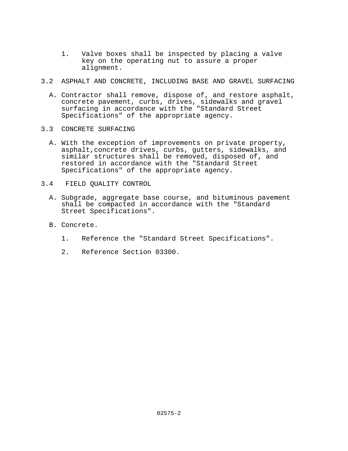- 1. Valve boxes shall be inspected by placing a valve key on the operating nut to assure a proper alignment.
- 3.2 ASPHALT AND CONCRETE, INCLUDING BASE AND GRAVEL SURFACING
	- A. Contractor shall remove, dispose of, and restore asphalt, concrete pavement, curbs, drives, sidewalks and gravel surfacing in accordance with the "Standard Street Specifications" of the appropriate agency.
- 3.3 CONCRETE SURFACING
	- A. With the exception of improvements on private property, asphalt,concrete drives, curbs, gutters, sidewalks, and similar structures shall be removed, disposed of, and restored in accordance with the "Standard Street Specifications" of the appropriate agency.
- 3.4 FIELD QUALITY CONTROL
	- A. Subgrade, aggregate base course, and bituminous pavement shall be compacted in accordance with the "Standard Street Specifications".
	- B. Concrete.
		- 1. Reference the "Standard Street Specifications".
		- 2. Reference Section 03300.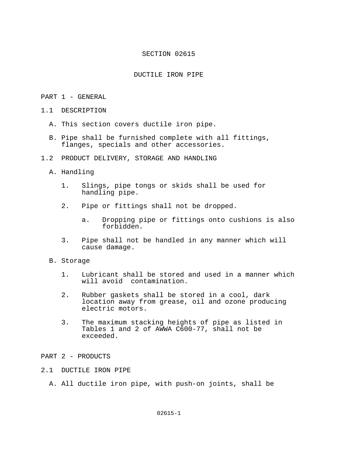## DUCTILE IRON PIPE

## PART 1 - GENERAL

- 1.1 DESCRIPTION
	- A. This section covers ductile iron pipe.
	- B. Pipe shall be furnished complete with all fittings, flanges, specials and other accessories.
- 1.2 PRODUCT DELIVERY, STORAGE AND HANDLING
	- A. Handling
		- 1. Slings, pipe tongs or skids shall be used for handling pipe.
		- 2. Pipe or fittings shall not be dropped.
			- a. Dropping pipe or fittings onto cushions is also forbidden.
		- 3. Pipe shall not be handled in any manner which will cause damage.

#### B. Storage

- 1. Lubricant shall be stored and used in a manner which will avoid contamination.
- 2. Rubber gaskets shall be stored in a cool, dark location away from grease, oil and ozone producing electric motors.
- 3. The maximum stacking heights of pipe as listed in Tables 1 and 2 of AWWA C600-77, shall not be exceeded.

# PART 2 - PRODUCTS

# 2.1 DUCTILE IRON PIPE

A. All ductile iron pipe, with push-on joints, shall be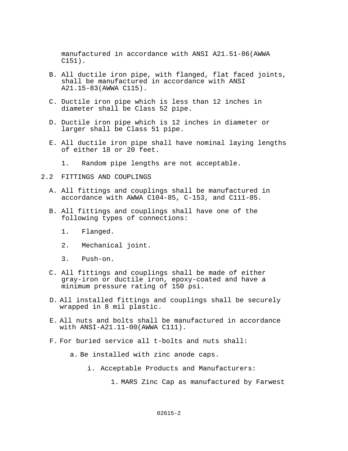manufactured in accordance with ANSI A21.51-86(AWWA C151).

- B. All ductile iron pipe, with flanged, flat faced joints, shall be manufactured in accordance with ANSI A21.15-83(AWWA C115).
- C. Ductile iron pipe which is less than 12 inches in diameter shall be Class 52 pipe.
- D. Ductile iron pipe which is 12 inches in diameter or larger shall be Class 51 pipe.
- E. All ductile iron pipe shall have nominal laying lengths of either 18 or 20 feet.
	- 1. Random pipe lengths are not acceptable.
- 2.2 FITTINGS AND COUPLINGS
	- A. All fittings and couplings shall be manufactured in accordance with AWWA C104-85, C-153, and C111-85.
	- B. All fittings and couplings shall have one of the following types of connections:
		- 1. Flanged.
		- 2. Mechanical joint.
		- 3. Push-on.
	- C. All fittings and couplings shall be made of either gray-iron or ductile iron, epoxy-coated and have a minimum pressure rating of 150 psi.
	- D. All installed fittings and couplings shall be securely wrapped in 8 mil plastic.
	- E. All nuts and bolts shall be manufactured in accordance with ANSI-A21.11-00(AWWA C111).
	- F. For buried service all t-bolts and nuts shall:
		- a. Be installed with zinc anode caps.
			- i. Acceptable Products and Manufacturers:
				- 1. MARS Zinc Cap as manufactured by Farwest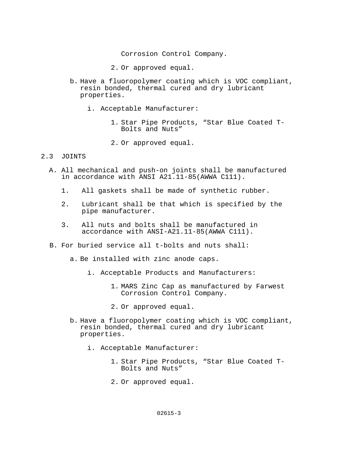Corrosion Control Company.

- 2. Or approved equal.
- b. Have a fluoropolymer coating which is VOC compliant, resin bonded, thermal cured and dry lubricant properties.
	- i. Acceptable Manufacturer:
		- 1. Star Pipe Products, "Star Blue Coated T-Bolts and Nuts"
		- 2. Or approved equal.

# 2.3 JOINTS

- A. All mechanical and push-on joints shall be manufactured in accordance with ANSI A21.11-85(AWWA C111).
	- 1. All gaskets shall be made of synthetic rubber.
	- 2. Lubricant shall be that which is specified by the pipe manufacturer.
	- 3. All nuts and bolts shall be manufactured in accordance with ANSI-A21.11-85(AWWA C111).
- B. For buried service all t-bolts and nuts shall:
	- a. Be installed with zinc anode caps.
		- i. Acceptable Products and Manufacturers:
			- 1. MARS Zinc Cap as manufactured by Farwest Corrosion Control Company.
			- 2. Or approved equal.
	- b. Have a fluoropolymer coating which is VOC compliant, resin bonded, thermal cured and dry lubricant properties.
		- i. Acceptable Manufacturer:
			- 1. Star Pipe Products, "Star Blue Coated T-Bolts and Nuts"
			- 2. Or approved equal.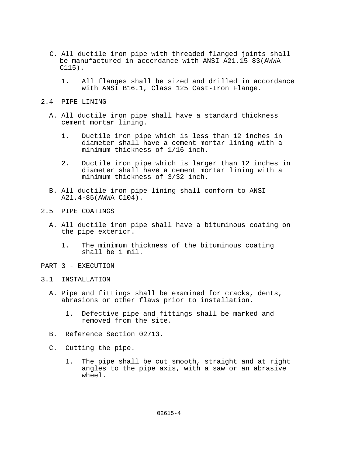- C. All ductile iron pipe with threaded flanged joints shall be manufactured in accordance with ANSI A21.15-83(AWWA C115).
	- 1. All flanges shall be sized and drilled in accordance with ANSI B16.1, Class 125 Cast-Iron Flange.
- 2.4 PIPE LINING
	- A. All ductile iron pipe shall have a standard thickness cement mortar lining.
		- 1. Ductile iron pipe which is less than 12 inches in diameter shall have a cement mortar lining with a minimum thickness of 1/16 inch.
		- 2. Ductile iron pipe which is larger than 12 inches in diameter shall have a cement mortar lining with a minimum thickness of 3/32 inch.
	- B. All ductile iron pipe lining shall conform to ANSI A21.4-85(AWWA C104).
- 2.5 PIPE COATINGS
	- A. All ductile iron pipe shall have a bituminous coating on the pipe exterior.
		- 1. The minimum thickness of the bituminous coating shall be 1 mil.
- PART 3 EXECUTION
- 3.1 INSTALLATION
	- A. Pipe and fittings shall be examined for cracks, dents, abrasions or other flaws prior to installation.
		- 1. Defective pipe and fittings shall be marked and removed from the site.
	- B. Reference Section 02713.
	- C. Cutting the pipe.
		- 1. The pipe shall be cut smooth, straight and at right angles to the pipe axis, with a saw or an abrasive wheel.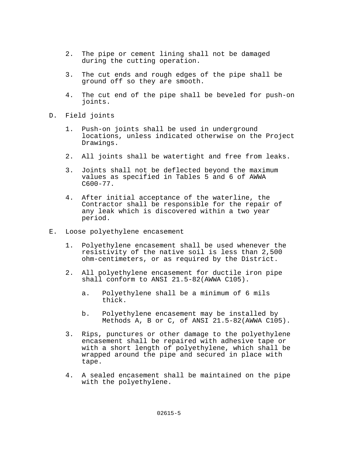- 2. The pipe or cement lining shall not be damaged during the cutting operation.
- 3. The cut ends and rough edges of the pipe shall be ground off so they are smooth.
- 4. The cut end of the pipe shall be beveled for push-on joints.
- D. Field joints
	- 1. Push-on joints shall be used in underground locations, unless indicated otherwise on the Project Drawings.
	- 2. All joints shall be watertight and free from leaks.
	- 3. Joints shall not be deflected beyond the maximum values as specified in Tables 5 and 6 of AWWA C600-77.
	- 4. After initial acceptance of the waterline, the Contractor shall be responsible for the repair of any leak which is discovered within a two year period.
- E. Loose polyethylene encasement
	- 1. Polyethylene encasement shall be used whenever the resistivity of the native soil is less than 2,500 ohm-centimeters, or as required by the District.
	- 2. All polyethylene encasement for ductile iron pipe shall conform to ANSI 21.5-82(AWWA C105).
		- a. Polyethylene shall be a minimum of 6 mils thick.
		- b. Polyethylene encasement may be installed by Methods A, B or C, of ANSI 21.5-82(AWWA C105).
	- 3. Rips, punctures or other damage to the polyethylene encasement shall be repaired with adhesive tape or with a short length of polyethylene, which shall be wrapped around the pipe and secured in place with tape.
	- 4. A sealed encasement shall be maintained on the pipe with the polyethylene.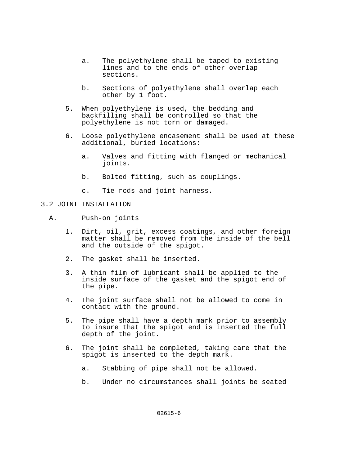- a. The polyethylene shall be taped to existing lines and to the ends of other overlap sections.
- b. Sections of polyethylene shall overlap each other by 1 foot.
- 5. When polyethylene is used, the bedding and backfilling shall be controlled so that the polyethylene is not torn or damaged.
- 6. Loose polyethylene encasement shall be used at these additional, buried locations:
	- a. Valves and fitting with flanged or mechanical joints.
	- b. Bolted fitting, such as couplings.
	- c. Tie rods and joint harness.
- 3.2 JOINT INSTALLATION
	- A. Push-on joints
		- 1. Dirt, oil, grit, excess coatings, and other foreign matter shall be removed from the inside of the bell and the outside of the spigot.
		- 2. The gasket shall be inserted.
		- 3. A thin film of lubricant shall be applied to the inside surface of the gasket and the spigot end of the pipe.
		- 4. The joint surface shall not be allowed to come in contact with the ground.
		- 5. The pipe shall have a depth mark prior to assembly to insure that the spigot end is inserted the full depth of the joint.
		- 6. The joint shall be completed, taking care that the spigot is inserted to the depth mark.
			- a. Stabbing of pipe shall not be allowed.
			- b. Under no circumstances shall joints be seated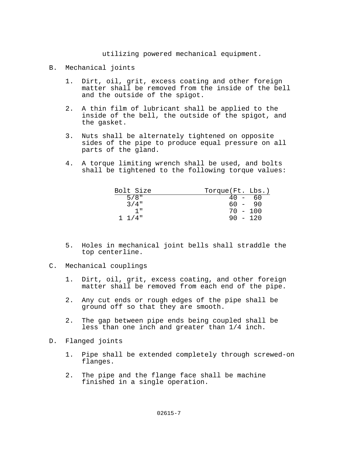utilizing powered mechanical equipment.

- B. Mechanical joints
	- 1. Dirt, oil, grit, excess coating and other foreign matter shall be removed from the inside of the bell and the outside of the spigot.
	- 2. A thin film of lubricant shall be applied to the inside of the bell, the outside of the spigot, and the gasket.
	- 3. Nuts shall be alternately tightened on opposite sides of the pipe to produce equal pressure on all parts of the gland.
	- 4. A torque limiting wrench shall be used, and bolts shall be tightened to the following torque values:

| Bolt Size   | Torque(Ft. Lbs.)                                                  |      |
|-------------|-------------------------------------------------------------------|------|
| $5/8$ "     | 40<br>$\mathcal{F}^{\mathcal{A}}$ and $\mathcal{F}^{\mathcal{A}}$ | - 60 |
| $3/4$ "     | $60 - 90$                                                         |      |
| יי 1        | $70 - 100$                                                        |      |
| $1 \t1/4$ " | $90 - 120$                                                        |      |

- 5. Holes in mechanical joint bells shall straddle the top centerline.
- C. Mechanical couplings
	- 1. Dirt, oil, grit, excess coating, and other foreign matter shall be removed from each end of the pipe.
	- 2. Any cut ends or rough edges of the pipe shall be ground off so that they are smooth.
	- 2. The gap between pipe ends being coupled shall be less than one inch and greater than 1/4 inch.
- D. Flanged joints
	- 1. Pipe shall be extended completely through screwed-on flanges.
	- 2. The pipe and the flange face shall be machine finished in a single operation.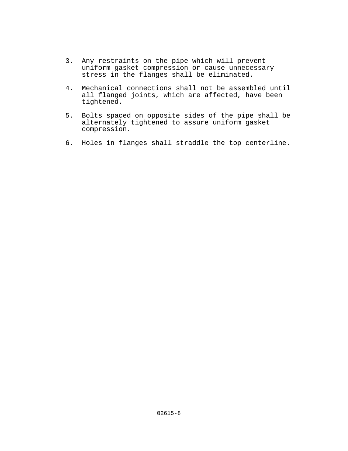- 3. Any restraints on the pipe which will prevent uniform gasket compression or cause unnecessary stress in the flanges shall be eliminated.
- 4. Mechanical connections shall not be assembled until all flanged joints, which are affected, have been tightened.
- 5. Bolts spaced on opposite sides of the pipe shall be alternately tightened to assure uniform gasket compression.
- 6. Holes in flanges shall straddle the top centerline.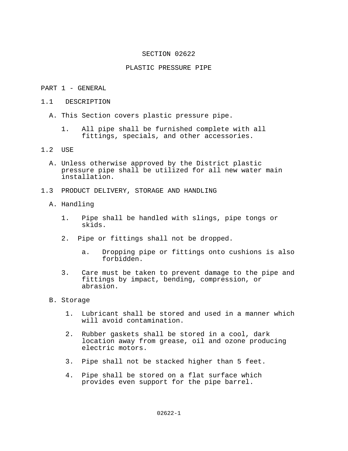### PLASTIC PRESSURE PIPE

### PART 1 - GENERAL

- 1.1 DESCRIPTION
	- A. This Section covers plastic pressure pipe.
		- 1. All pipe shall be furnished complete with all fittings, specials, and other accessories.

# 1.2 USE

- A. Unless otherwise approved by the District plastic pressure pipe shall be utilized for all new water main installation.
- 1.3 PRODUCT DELIVERY, STORAGE AND HANDLING
	- A. Handling
		- 1. Pipe shall be handled with slings, pipe tongs or skids.
		- 2. Pipe or fittings shall not be dropped.
			- a. Dropping pipe or fittings onto cushions is also forbidden.
		- 3. Care must be taken to prevent damage to the pipe and fittings by impact, bending, compression, or abrasion.
	- B. Storage
		- 1. Lubricant shall be stored and used in a manner which will avoid contamination.
		- 2. Rubber gaskets shall be stored in a cool, dark location away from grease, oil and ozone producing electric motors.
		- 3. Pipe shall not be stacked higher than 5 feet.
		- 4. Pipe shall be stored on a flat surface which provides even support for the pipe barrel.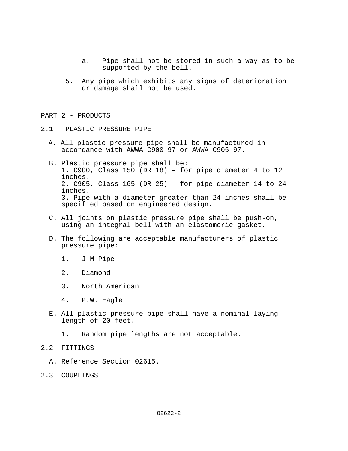- a. Pipe shall not be stored in such a way as to be supported by the bell.
- 5. Any pipe which exhibits any signs of deterioration or damage shall not be used.

### PART 2 - PRODUCTS

- 2.1 PLASTIC PRESSURE PIPE
	- A. All plastic pressure pipe shall be manufactured in accordance with AWWA C900-97 or AWWA C905-97.
	- B. Plastic pressure pipe shall be: 1. C900, Class 150 (DR 18) – for pipe diameter 4 to 12 inches. 2. C905, Class 165 (DR 25) – for pipe diameter 14 to 24 inches. 3. Pipe with a diameter greater than 24 inches shall be specified based on engineered design.
	- C. All joints on plastic pressure pipe shall be push-on, using an integral bell with an elastomeric-gasket.
	- D. The following are acceptable manufacturers of plastic pressure pipe:
		- 1. J-M Pipe
		- 2. Diamond
		- 3. North American
		- 4. P.W. Eagle
	- E. All plastic pressure pipe shall have a nominal laying length of 20 feet.
		- 1. Random pipe lengths are not acceptable.
- 2.2 FITTINGS
	- A. Reference Section 02615.
- 2.3 COUPLINGS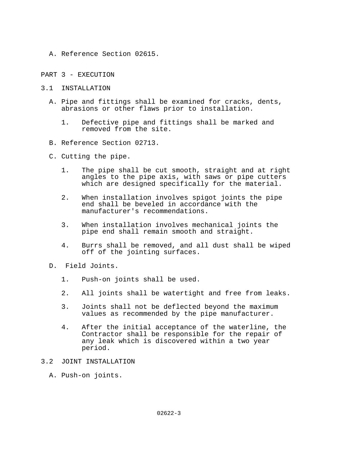- A. Reference Section 02615.
- PART 3 EXECUTION
- 3.1 INSTALLATION
	- A. Pipe and fittings shall be examined for cracks, dents, abrasions or other flaws prior to installation.
		- 1. Defective pipe and fittings shall be marked and removed from the site.
	- B. Reference Section 02713.
	- C. Cutting the pipe.
		- 1. The pipe shall be cut smooth, straight and at right angles to the pipe axis, with saws or pipe cutters which are designed specifically for the material.
		- 2. When installation involves spigot joints the pipe end shall be beveled in accordance with the manufacturer's recommendations.
		- 3. When installation involves mechanical joints the pipe end shall remain smooth and straight.
		- 4. Burrs shall be removed, and all dust shall be wiped off of the jointing surfaces.
	- D. Field Joints.
		- 1. Push-on joints shall be used.
		- 2. All joints shall be watertight and free from leaks.
		- 3. Joints shall not be deflected beyond the maximum values as recommended by the pipe manufacturer.
		- 4. After the initial acceptance of the waterline, the Contractor shall be responsible for the repair of any leak which is discovered within a two year period.
- 3.2 JOINT INSTALLATION
	- A. Push-on joints.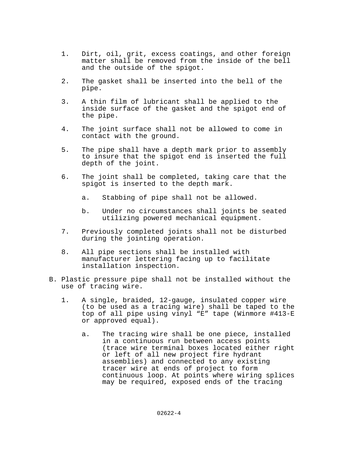- 1. Dirt, oil, grit, excess coatings, and other foreign matter shall be removed from the inside of the bell and the outside of the spigot.
- 2. The gasket shall be inserted into the bell of the pipe.
- 3. A thin film of lubricant shall be applied to the inside surface of the gasket and the spigot end of the pipe.
- 4. The joint surface shall not be allowed to come in contact with the ground.
- 5. The pipe shall have a depth mark prior to assembly to insure that the spigot end is inserted the full depth of the joint.
- 6. The joint shall be completed, taking care that the spigot is inserted to the depth mark.
	- a. Stabbing of pipe shall not be allowed.
	- b. Under no circumstances shall joints be seated utilizing powered mechanical equipment.
- 7. Previously completed joints shall not be disturbed during the jointing operation.
- 8. All pipe sections shall be installed with manufacturer lettering facing up to facilitate installation inspection.
- B. Plastic pressure pipe shall not be installed without the use of tracing wire.
	- 1. A single, braided, 12-gauge, insulated copper wire (to be used as a tracing wire) shall be taped to the top of all pipe using vinyl "E" tape (Winmore #413-E or approved equal).
		- a. The tracing wire shall be one piece, installed in a continuous run between access points (trace wire terminal boxes located either right or left of all new project fire hydrant assemblies) and connected to any existing tracer wire at ends of project to form continuous loop. At points where wiring splices may be required, exposed ends of the tracing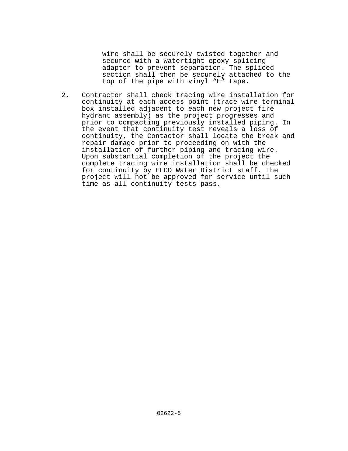wire shall be securely twisted together and secured with a watertight epoxy splicing adapter to prevent separation. The spliced section shall then be securely attached to the top of the pipe with vinyl "E" tape.

 2. Contractor shall check tracing wire installation for continuity at each access point (trace wire terminal box installed adjacent to each new project fire hydrant assembly) as the project progresses and prior to compacting previously installed piping. In the event that continuity test reveals a loss of continuity, the Contactor shall locate the break and repair damage prior to proceeding on with the installation of further piping and tracing wire. Upon substantial completion of the project the complete tracing wire installation shall be checked for continuity by ELCO Water District staff. The project will not be approved for service until such time as all continuity tests pass.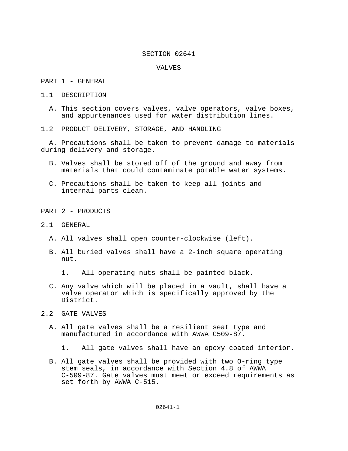#### VALVES

PART 1 - GENERAL

- 1.1 DESCRIPTION
	- A. This section covers valves, valve operators, valve boxes, and appurtenances used for water distribution lines.
- 1.2 PRODUCT DELIVERY, STORAGE, AND HANDLING

 A. Precautions shall be taken to prevent damage to materials during delivery and storage.

- B. Valves shall be stored off of the ground and away from materials that could contaminate potable water systems.
- C. Precautions shall be taken to keep all joints and internal parts clean.

PART 2 - PRODUCTS

- 2.1 GENERAL
	- A. All valves shall open counter-clockwise (left).
	- B. All buried valves shall have a 2-inch square operating nut.
		- 1. All operating nuts shall be painted black.
	- C. Any valve which will be placed in a vault, shall have a valve operator which is specifically approved by the District.
- 2.2 GATE VALVES
	- A. All gate valves shall be a resilient seat type and manufactured in accordance with AWWA C509-87.
		- 1. All gate valves shall have an epoxy coated interior.
	- B. All gate valves shall be provided with two O-ring type stem seals, in accordance with Section 4.8 of AWWA C-509-87. Gate valves must meet or exceed requirements as set forth by AWWA C-515.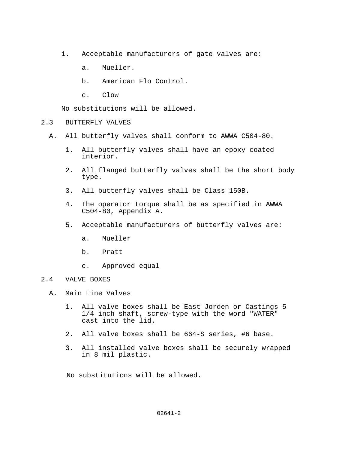- 1. Acceptable manufacturers of gate valves are:
	- a. Mueller.
	- b. American Flo Control.
	- c. Clow

No substitutions will be allowed.

- 2.3 BUTTERFLY VALVES
	- A. All butterfly valves shall conform to AWWA C504-80.
		- 1. All butterfly valves shall have an epoxy coated interior.
		- 2. All flanged butterfly valves shall be the short body type.
		- 3. All butterfly valves shall be Class 150B.
		- 4. The operator torque shall be as specified in AWWA C504-80, Appendix A.
		- 5. Acceptable manufacturers of butterfly valves are:
			- a. Mueller
			- b. Pratt
			- c. Approved equal
- 2.4 VALVE BOXES
	- A. Main Line Valves
		- 1. All valve boxes shall be East Jorden or Castings 5 1/4 inch shaft, screw-type with the word "WATER" cast into the lid.
		- 2. All valve boxes shall be 664-S series, #6 base.
		- 3. All installed valve boxes shall be securely wrapped in 8 mil plastic.

No substitutions will be allowed.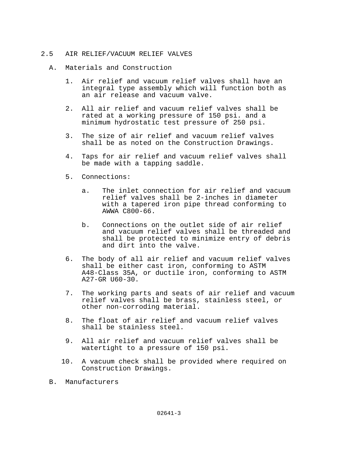# 2.5 AIR RELIEF/VACUUM RELIEF VALVES

- A. Materials and Construction
	- 1. Air relief and vacuum relief valves shall have an integral type assembly which will function both as an air release and vacuum valve.
	- 2. All air relief and vacuum relief valves shall be rated at a working pressure of 150 psi. and a minimum hydrostatic test pressure of 250 psi.
	- 3. The size of air relief and vacuum relief valves shall be as noted on the Construction Drawings.
	- 4. Taps for air relief and vacuum relief valves shall be made with a tapping saddle.
	- 5. Connections:
		- a. The inlet connection for air relief and vacuum relief valves shall be 2-inches in diameter with a tapered iron pipe thread conforming to AWWA C800-66.
		- b. Connections on the outlet side of air relief and vacuum relief valves shall be threaded and shall be protected to minimize entry of debris and dirt into the valve.
	- 6. The body of all air relief and vacuum relief valves shall be either cast iron, conforming to ASTM A48-Class 35A, or ductile iron, conforming to ASTM A27-GR U60-30.
	- 7. The working parts and seats of air relief and vacuum relief valves shall be brass, stainless steel, or other non-corroding material.
	- 8. The float of air relief and vacuum relief valves shall be stainless steel.
	- 9. All air relief and vacuum relief valves shall be watertight to a pressure of 150 psi.
	- 10. A vacuum check shall be provided where required on Construction Drawings.
- B. Manufacturers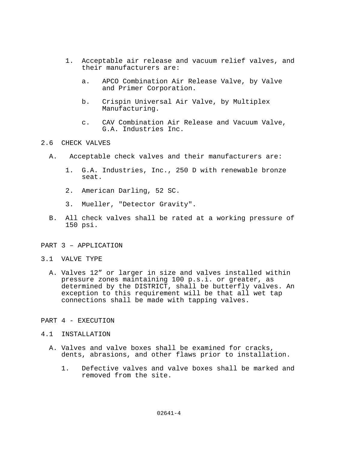- 1. Acceptable air release and vacuum relief valves, and their manufacturers are:
	- a. APCO Combination Air Release Valve, by Valve and Primer Corporation.
	- b. Crispin Universal Air Valve, by Multiplex Manufacturing.
	- c. CAV Combination Air Release and Vacuum Valve, G.A. Industries Inc.

## 2.6 CHECK VALVES

- A. Acceptable check valves and their manufacturers are:
	- 1. G.A. Industries, Inc., 250 D with renewable bronze seat.
	- 2. American Darling, 52 SC.
	- 3. Mueller, "Detector Gravity".
- B. All check valves shall be rated at a working pressure of 150 psi.

### PART 3 – APPLICATION

#### 3.1 VALVE TYPE

 A. Valves 12" or larger in size and valves installed within pressure zones maintaining 100 p.s.i. or greater, as determined by the DISTRICT, shall be butterfly valves. An exception to this requirement will be that all wet tap connections shall be made with tapping valves.

### PART 4 - EXECUTION

### 4.1 INSTALLATION

- A. Valves and valve boxes shall be examined for cracks, dents, abrasions, and other flaws prior to installation.
	- 1. Defective valves and valve boxes shall be marked and removed from the site.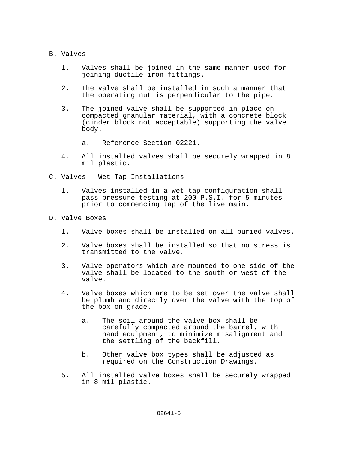- B. Valves
	- 1. Valves shall be joined in the same manner used for joining ductile iron fittings.
	- 2. The valve shall be installed in such a manner that the operating nut is perpendicular to the pipe.
	- 3. The joined valve shall be supported in place on compacted granular material, with a concrete block (cinder block not acceptable) supporting the valve body.
		- a. Reference Section 02221.
	- 4. All installed valves shall be securely wrapped in 8 mil plastic.
- C. Valves Wet Tap Installations
	- 1. Valves installed in a wet tap configuration shall pass pressure testing at 200 P.S.I. for 5 minutes prior to commencing tap of the live main.
- D. Valve Boxes
	- 1. Valve boxes shall be installed on all buried valves.
	- 2. Valve boxes shall be installed so that no stress is transmitted to the valve.
	- 3. Valve operators which are mounted to one side of the valve shall be located to the south or west of the valve.
	- 4. Valve boxes which are to be set over the valve shall be plumb and directly over the valve with the top of the box on grade.
		- a. The soil around the valve box shall be carefully compacted around the barrel, with hand equipment, to minimize misalignment and the settling of the backfill.
		- b. Other valve box types shall be adjusted as required on the Construction Drawings.
	- 5. All installed valve boxes shall be securely wrapped in 8 mil plastic.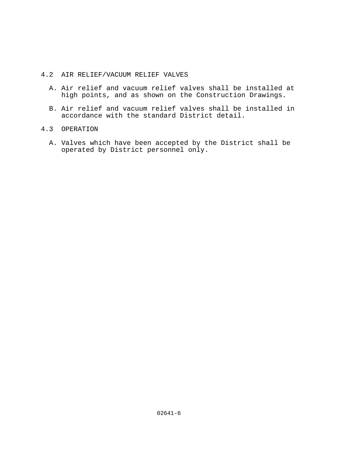# 4.2 AIR RELIEF/VACUUM RELIEF VALVES

- A. Air relief and vacuum relief valves shall be installed at high points, and as shown on the Construction Drawings.
- B. Air relief and vacuum relief valves shall be installed in accordance with the standard District detail.

# 4.3 OPERATION

 A. Valves which have been accepted by the District shall be operated by District personnel only.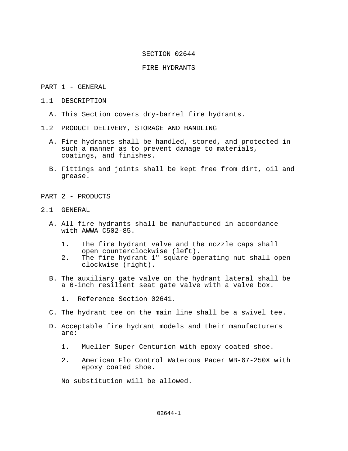### FIRE HYDRANTS

#### PART 1 - GENERAL

- 1.1 DESCRIPTION
	- A. This Section covers dry-barrel fire hydrants.
- 1.2 PRODUCT DELIVERY, STORAGE AND HANDLING
	- A. Fire hydrants shall be handled, stored, and protected in such a manner as to prevent damage to materials, coatings, and finishes.
	- B. Fittings and joints shall be kept free from dirt, oil and grease.
- PART 2 PRODUCTS
- 2.1 GENERAL
	- A. All fire hydrants shall be manufactured in accordance with AWWA C502-85.
		- 1. The fire hydrant valve and the nozzle caps shall open counterclockwise (left).
		- 2. The fire hydrant 1" square operating nut shall open clockwise (right).
	- B. The auxiliary gate valve on the hydrant lateral shall be a 6-inch resilient seat gate valve with a valve box.
		- 1. Reference Section 02641.
	- C. The hydrant tee on the main line shall be a swivel tee.
	- D. Acceptable fire hydrant models and their manufacturers are:
		- 1. Mueller Super Centurion with epoxy coated shoe.
		- 2. American Flo Control Waterous Pacer WB-67-250X with epoxy coated shoe.

No substitution will be allowed.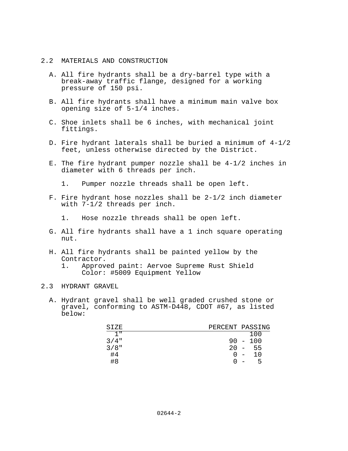### 2.2 MATERIALS AND CONSTRUCTION

- A. All fire hydrants shall be a dry-barrel type with a break-away traffic flange, designed for a working pressure of 150 psi.
- B. All fire hydrants shall have a minimum main valve box opening size of 5-1/4 inches.
- C. Shoe inlets shall be 6 inches, with mechanical joint fittings.
- D. Fire hydrant laterals shall be buried a minimum of 4-1/2 feet, unless otherwise directed by the District.
- E. The fire hydrant pumper nozzle shall be 4-1/2 inches in diameter with 6 threads per inch.
	- 1. Pumper nozzle threads shall be open left.
- F. Fire hydrant hose nozzles shall be 2-1/2 inch diameter with 7-1/2 threads per inch.
	- 1. Hose nozzle threads shall be open left.
- G. All fire hydrants shall have a 1 inch square operating nut.
- H. All fire hydrants shall be painted yellow by the Contractor.<br>1. Approv
	- 1. Approved paint: Aervoe Supreme Rust Shield Color: #5009 Equipment Yellow

### 2.3 HYDRANT GRAVEL

 A. Hydrant gravel shall be well graded crushed stone or gravel, conforming to ASTM-D448, CDOT #67, as listed below:

| SIZE            | PERCENT PASSING |                               |
|-----------------|-----------------|-------------------------------|
| 1 <sub>II</sub> |                 | 100                           |
| $3/4$ "         |                 | $90 - 100$                    |
| $3/8$ "         | $20 -$          | -55                           |
| #4              | $(1 -$          | 10                            |
| #8              |                 | ל<br>$\overline{\phantom{0}}$ |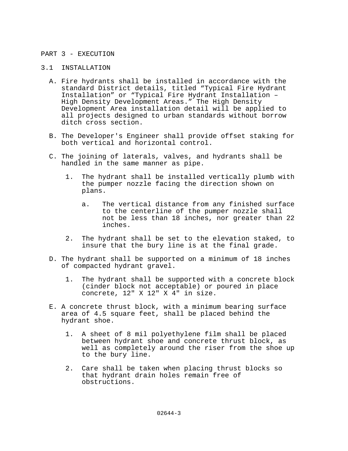### PART 3 - EXECUTION

### 3.1 INSTALLATION

- A. Fire hydrants shall be installed in accordance with the standard District details, titled "Typical Fire Hydrant Installation" or "Typical Fire Hydrant Installation – High Density Development Areas." The High Density Development Area installation detail will be applied to all projects designed to urban standards without borrow ditch cross section.
- B. The Developer's Engineer shall provide offset staking for both vertical and horizontal control.
- C. The joining of laterals, valves, and hydrants shall be handled in the same manner as pipe.
	- 1. The hydrant shall be installed vertically plumb with the pumper nozzle facing the direction shown on plans.
		- a. The vertical distance from any finished surface to the centerline of the pumper nozzle shall not be less than 18 inches, nor greater than 22 inches.
	- 2. The hydrant shall be set to the elevation staked, to insure that the bury line is at the final grade.
- D. The hydrant shall be supported on a minimum of 18 inches of compacted hydrant gravel.
	- 1. The hydrant shall be supported with a concrete block (cinder block not acceptable) or poured in place concrete, 12" X 12" X 4" in size.
- E. A concrete thrust block, with a minimum bearing surface area of 4.5 square feet, shall be placed behind the hydrant shoe.
	- 1. A sheet of 8 mil polyethylene film shall be placed between hydrant shoe and concrete thrust block, as well as completely around the riser from the shoe up to the bury line.
	- 2. Care shall be taken when placing thrust blocks so that hydrant drain holes remain free of obstructions.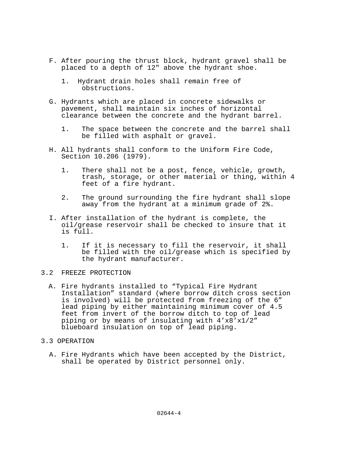- F. After pouring the thrust block, hydrant gravel shall be placed to a depth of 12" above the hydrant shoe.
	- 1. Hydrant drain holes shall remain free of obstructions.
- G. Hydrants which are placed in concrete sidewalks or pavement, shall maintain six inches of horizontal clearance between the concrete and the hydrant barrel.
	- 1. The space between the concrete and the barrel shall be filled with asphalt or gravel.
- H. All hydrants shall conform to the Uniform Fire Code, Section 10.206 (1979).
	- 1. There shall not be a post, fence, vehicle, growth, trash, storage, or other material or thing, within 4 feet of a fire hydrant.
	- 2. The ground surrounding the fire hydrant shall slope away from the hydrant at a minimum grade of 2%.
- I. After installation of the hydrant is complete, the oil/grease reservoir shall be checked to insure that it is full.
	- 1. If it is necessary to fill the reservoir, it shall be filled with the oil/grease which is specified by the hydrant manufacturer.

# 3.2 FREEZE PROTECTION

- A. Fire hydrants installed to "Typical Fire Hydrant Installation" standard (where borrow ditch cross section is involved) will be protected from freezing of the 6" lead piping by either maintaining minimum cover of 4.5 feet from invert of the borrow ditch to top of lead piping or by means of insulating with 4'x8'x1/2" blueboard insulation on top of lead piping.
- 3.3 OPERATION
	- A. Fire Hydrants which have been accepted by the District, shall be operated by District personnel only.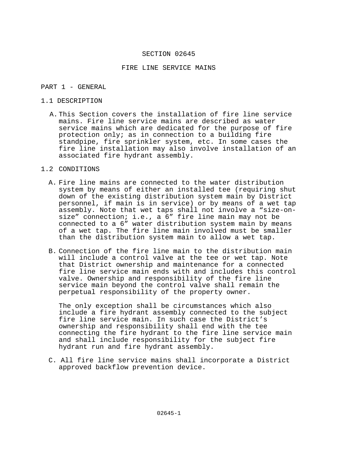### FIRE LINE SERVICE MAINS

#### PART 1 - GENERAL

### 1.1 DESCRIPTION

A. This Section covers the installation of fire line service mains. Fire line service mains are described as water service mains which are dedicated for the purpose of fire protection only; as in connection to a building fire standpipe, fire sprinkler system, etc. In some cases the fire line installation may also involve installation of an associated fire hydrant assembly.

# 1.2 CONDITIONS

- A. Fire line mains are connected to the water distribution system by means of either an installed tee (requiring shut down of the existing distribution system main by District personnel, if main is in service) or by means of a wet tap assembly. Note that wet taps shall not involve a "size-onsize" connection; i.e., a 6" fire line main may not be connected to a 6" water distribution system main by means of a wet tap. The fire line main involved must be smaller than the distribution system main to allow a wet tap.
- B. Connection of the fire line main to the distribution main will include a control valve at the tee or wet tap. Note that District ownership and maintenance for a connected fire line service main ends with and includes this control valve. Ownership and responsibility of the fire line service main beyond the control valve shall remain the perpetual responsibility of the property owner.

The only exception shall be circumstances which also include a fire hydrant assembly connected to the subject fire line service main. In such case the District's ownership and responsibility shall end with the tee connecting the fire hydrant to the fire line service main and shall include responsibility for the subject fire hydrant run and fire hydrant assembly.

C. All fire line service mains shall incorporate a District approved backflow prevention device.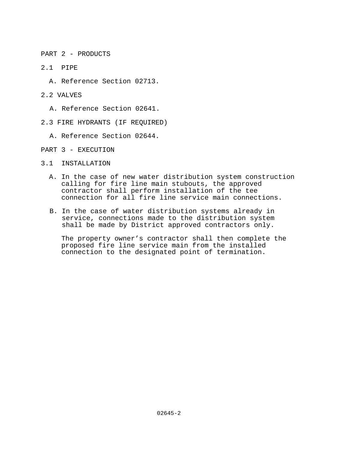PART 2 - PRODUCTS

- 2.1 PIPE
	- A. Reference Section 02713.
- 2.2 VALVES
	- A. Reference Section 02641.
- 2.3 FIRE HYDRANTS (IF REQUIRED)
	- A. Reference Section 02644.
- PART 3 EXECUTION
- 3.1 INSTALLATION
	- A. In the case of new water distribution system construction calling for fire line main stubouts, the approved contractor shall perform installation of the tee connection for all fire line service main connections.
	- B. In the case of water distribution systems already in service, connections made to the distribution system shall be made by District approved contractors only.

The property owner's contractor shall then complete the proposed fire line service main from the installed connection to the designated point of termination.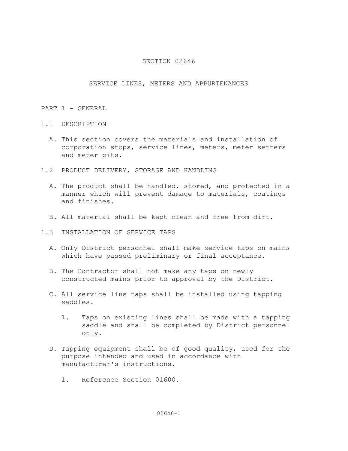# SERVICE LINES, METERS AND APPURTENANCES

### PART 1 - GENERAL

- 1.1 DESCRIPTION
	- A. This section covers the materials and installation of corporation stops, service lines, meters, meter setters and meter pits.
- 1.2 PRODUCT DELIVERY, STORAGE AND HANDLING
	- A. The product shall be handled, stored, and protected in a manner which will prevent damage to materials, coatings and finishes.
	- B. All material shall be kept clean and free from dirt.
- 1.3 INSTALLATION OF SERVICE TAPS
	- A. Only District personnel shall make service taps on mains which have passed preliminary or final acceptance.
	- B. The Contractor shall not make any taps on newly constructed mains prior to approval by the District.
	- C. All service line taps shall be installed using tapping saddles.
		- 1. Taps on existing lines shall be made with a tapping saddle and shall be completed by District personnel only.
	- D. Tapping equipment shall be of good quality, used for the purpose intended and used in accordance with manufacturer's instructions.
		- 1. Reference Section 01600.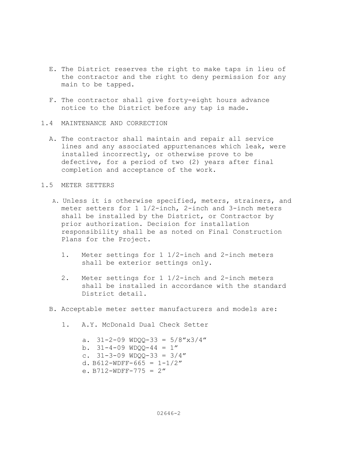- E. The District reserves the right to make taps in lieu of the contractor and the right to deny permission for any main to be tapped.
- F. The contractor shall give forty-eight hours advance notice to the District before any tap is made.
- 1.4 MAINTENANCE AND CORRECTION
	- A. The contractor shall maintain and repair all service lines and any associated appurtenances which leak, were installed incorrectly, or otherwise prove to be defective, for a period of two (2) years after final completion and acceptance of the work.
- 1.5 METER SETTERS
	- A. Unless it is otherwise specified, meters, strainers, and meter setters for 1 1/2-inch, 2-inch and 3-inch meters shall be installed by the District, or Contractor by prior authorization. Decision for installation responsibility shall be as noted on Final Construction Plans for the Project.
		- 1. Meter settings for 1 1/2-inch and 2-inch meters shall be exterior settings only.
		- 2. Meter settings for 1 1/2-inch and 2-inch meters shall be installed in accordance with the standard District detail.
	- B. Acceptable meter setter manufacturers and models are:
		- 1. A.Y. McDonald Dual Check Setter

a.  $31-2-09$  WDQQ-33 =  $5/8'' \times 3/4''$ b.  $31-4-09$  WDQQ-44 = 1" c.  $31-3-09$  WDQQ-33 =  $3/4$ " d. B612-WDFF-665 =  $1-1/2"$ e. B712-WDFF-775 =  $2''$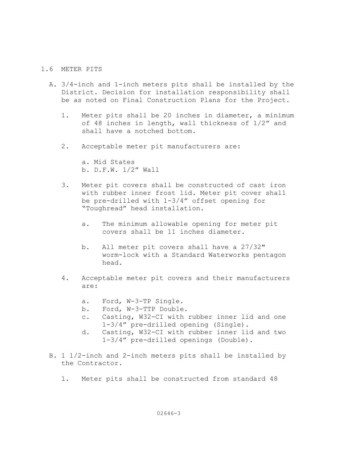# 1.6 METER PITS

- A. 3/4-inch and 1-inch meters pits shall be installed by the District. Decision for installation responsibility shall be as noted on Final Construction Plans for the Project.
	- 1. Meter pits shall be 20 inches in diameter, a minimum of 48 inches in length, wall thickness of 1/2" and shall have a notched bottom.
	- 2. Acceptable meter pit manufacturers are:

 a. Mid States b. D.F.W. 1/2" Wall

- 3. Meter pit covers shall be constructed of cast iron with rubber inner frost lid. Meter pit cover shall be pre-drilled with 1-3/4" offset opening for "Toughread" head installation.
	- a. The minimum allowable opening for meter pit covers shall be 11 inches diameter.
	- b. All meter pit covers shall have a 27/32" worm-lock with a Standard Waterworks pentagon head.
- 4. Acceptable meter pit covers and their manufacturers are:
	- a. Ford, W-3-TP Single.
	- b. Ford, W-3-TTP Double.
	- c. Casting, W32-CI with rubber inner lid and one 1-3/4" pre-drilled opening (Single).
	- d. Casting, W32-CI with rubber inner lid and two 1-3/4" pre-drilled openings (Double).
- B. 1 1/2-inch and 2-inch meters pits shall be installed by the Contractor.
	- 1. Meter pits shall be constructed from standard 48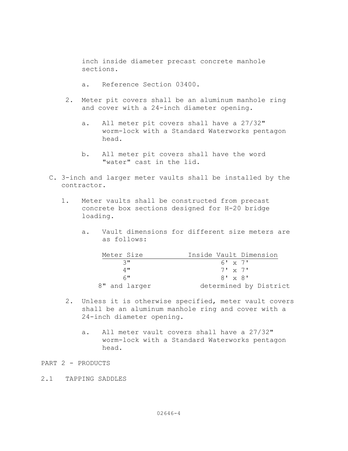inch inside diameter precast concrete manhole sections.

- a. Reference Section 03400.
- 2. Meter pit covers shall be an aluminum manhole ring and cover with a 24-inch diameter opening.
	- a. All meter pit covers shall have a 27/32" worm-lock with a Standard Waterworks pentagon head.
	- b. All meter pit covers shall have the word "water" cast in the lid.
- C. 3-inch and larger meter vaults shall be installed by the contractor.
	- 1. Meter vaults shall be constructed from precast concrete box sections designed for H-20 bridge loading.
		- a. Vault dimensions for different size meters are as follows:

| Meter Size       | Inside Vault Dimension |
|------------------|------------------------|
| $\mathcal{L}$ II | 6' x 7'                |
| 4 II             | $7! \times 7!$         |
| $6$ "            | $8' \times 8'$         |
| 8" and larger    | determined by District |

- 2. Unless it is otherwise specified, meter vault covers shall be an aluminum manhole ring and cover with a 24-inch diameter opening.
	- a. All meter vault covers shall have a 27/32" worm-lock with a Standard Waterworks pentagon head.

# PART 2 - PRODUCTS

2.1 TAPPING SADDLES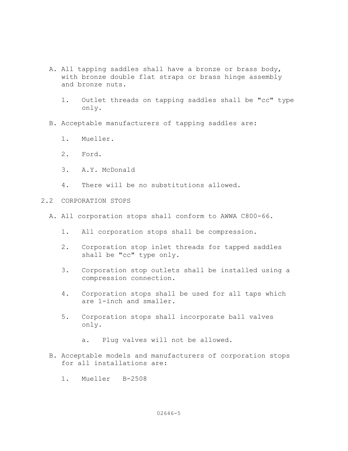- A. All tapping saddles shall have a bronze or brass body, with bronze double flat straps or brass hinge assembly and bronze nuts.
	- 1. Outlet threads on tapping saddles shall be "cc" type only.
- B. Acceptable manufacturers of tapping saddles are:
	- 1. Mueller.
	- 2. Ford.
	- 3. A.Y. McDonald
	- 4. There will be no substitutions allowed.
- 2.2 CORPORATION STOPS
	- A. All corporation stops shall conform to AWWA C800-66.
		- 1. All corporation stops shall be compression.
		- 2. Corporation stop inlet threads for tapped saddles shall be "cc" type only.
		- 3. Corporation stop outlets shall be installed using a compression connection.
		- 4. Corporation stops shall be used for all taps which are 1-inch and smaller.
		- 5. Corporation stops shall incorporate ball valves only.
			- a. Plug valves will not be allowed.
	- B. Acceptable models and manufacturers of corporation stops for all installations are:
		- 1. Mueller B-2508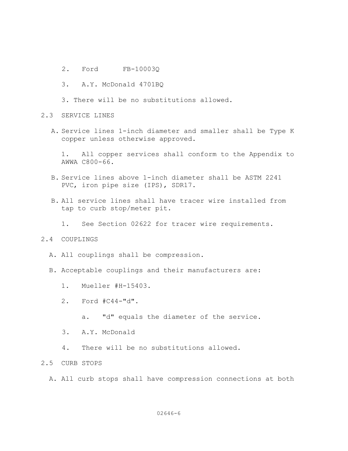- 2. Ford FB-10003Q
- 3. A.Y. McDonald 4701BQ
- 3. There will be no substitutions allowed.
- 2.3 SERVICE LINES
	- A. Service lines 1-inch diameter and smaller shall be Type K copper unless otherwise approved.

 1. All copper services shall conform to the Appendix to AWWA C800-66.

- B. Service lines above 1-inch diameter shall be ASTM 2241 PVC, iron pipe size (IPS), SDR17.
- B. All service lines shall have tracer wire installed from tap to curb stop/meter pit.
	- 1. See Section 02622 for tracer wire requirements.

## 2.4 COUPLINGS

- A. All couplings shall be compression.
- B. Acceptable couplings and their manufacturers are:
	- 1. Mueller #H-15403.
	- 2. Ford #C44-"d".
		- a. "d" equals the diameter of the service.
	- 3. A.Y. McDonald
	- 4. There will be no substitutions allowed.

# 2.5 CURB STOPS

A. All curb stops shall have compression connections at both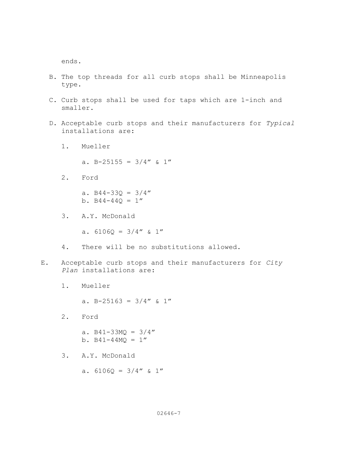ends.

- B. The top threads for all curb stops shall be Minneapolis type.
- C. Curb stops shall be used for taps which are 1-inch and smaller.
- D. Acceptable curb stops and their manufacturers for Typical installations are:
	- 1. Mueller

a. B-25155 =  $3/4''$  & 1"

2. Ford

a.  $B44-330 = 3/4''$ b.  $B44-44Q = 1''$ 

3. A.Y. McDonald

a.  $6106Q = 3/4''$  & 1"

- 4. There will be no substitutions allowed.
- E. Acceptable curb stops and their manufacturers for City Plan installations are:
	- 1. Mueller

a. B-25163 =  $3/4''$  & 1"

2. Ford

a.  $B41-33MQ = 3/4''$ b.  $B41-44MQ = 1''$ 

3. A.Y. McDonald

a.  $61060 = 3/4''$  & 1"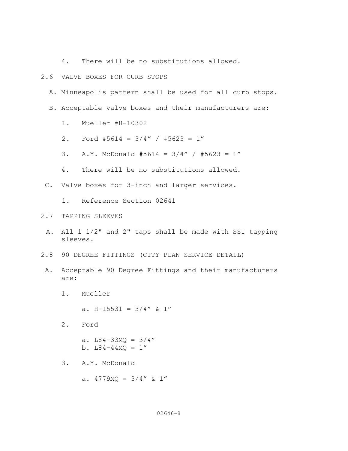4. There will be no substitutions allowed.

### 2.6 VALVE BOXES FOR CURB STOPS

- A. Minneapolis pattern shall be used for all curb stops.
- B. Acceptable valve boxes and their manufacturers are:
	- 1. Mueller #H-10302
	- 2. Ford #5614 = 3/4" / #5623 = 1"
	- 3. A.Y. McDonald #5614 = 3/4" / #5623 = 1"
	- 4. There will be no substitutions allowed.
- C. Valve boxes for 3-inch and larger services.
	- 1. Reference Section 02641
- 2.7 TAPPING SLEEVES
	- A. All 1 1/2" and 2" taps shall be made with SSI tapping sleeves.
- 2.8 90 DEGREE FITTINGS (CITY PLAN SERVICE DETAIL)
- A. Acceptable 90 Degree Fittings and their manufacturers are:
	- 1. Mueller

a. H-15531 =  $3/4''$  & 1"

- 2. Ford
	- a.  $L84-33MQ = 3/4''$ b.  $L84-44MQ = 1''$
- 3. A.Y. McDonald
	- a.  $4779MQ = 3/4''$  & 1"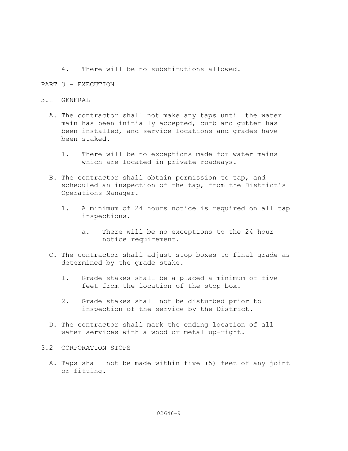4. There will be no substitutions allowed.

### PART 3 - EXECUTION

### 3.1 GENERAL

- A. The contractor shall not make any taps until the water main has been initially accepted, curb and gutter has been installed, and service locations and grades have been staked.
	- 1. There will be no exceptions made for water mains which are located in private roadways.
- B. The contractor shall obtain permission to tap, and scheduled an inspection of the tap, from the District's Operations Manager.
	- 1. A minimum of 24 hours notice is required on all tap inspections.
		- a. There will be no exceptions to the 24 hour notice requirement.
- C. The contractor shall adjust stop boxes to final grade as determined by the grade stake.
	- 1. Grade stakes shall be a placed a minimum of five feet from the location of the stop box.
	- 2. Grade stakes shall not be disturbed prior to inspection of the service by the District.
- D. The contractor shall mark the ending location of all water services with a wood or metal up-right.

## 3.2 CORPORATION STOPS

 A. Taps shall not be made within five (5) feet of any joint or fitting.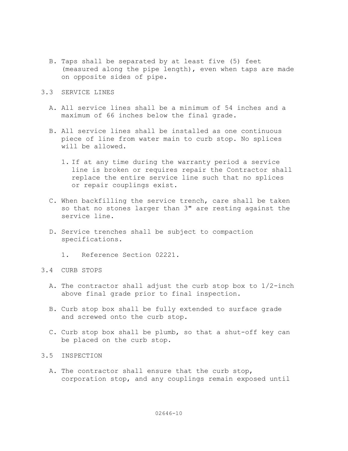B. Taps shall be separated by at least five (5) feet (measured along the pipe length), even when taps are made on opposite sides of pipe.

## 3.3 SERVICE LINES

- A. All service lines shall be a minimum of 54 inches and a maximum of 66 inches below the final grade.
- B. All service lines shall be installed as one continuous piece of line from water main to curb stop. No splices will be allowed.
	- 1. If at any time during the warranty period a service line is broken or requires repair the Contractor shall replace the entire service line such that no splices or repair couplings exist.
- C. When backfilling the service trench, care shall be taken so that no stones larger than 3" are resting against the service line.
- D. Service trenches shall be subject to compaction specifications.
	- 1. Reference Section 02221.
- 3.4 CURB STOPS
	- A. The contractor shall adjust the curb stop box to 1/2-inch above final grade prior to final inspection.
	- B. Curb stop box shall be fully extended to surface grade and screwed onto the curb stop.
	- C. Curb stop box shall be plumb, so that a shut-off key can be placed on the curb stop.
- 3.5 INSPECTION
	- A. The contractor shall ensure that the curb stop, corporation stop, and any couplings remain exposed until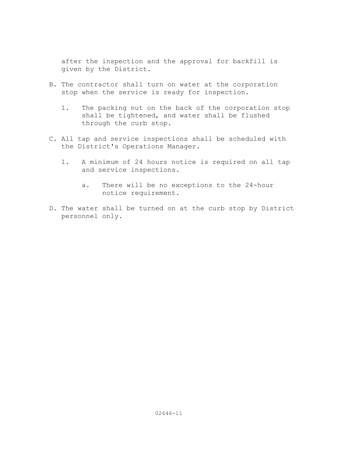after the inspection and the approval for backfill is given by the District.

- B. The contractor shall turn on water at the corporation stop when the service is ready for inspection.
	- 1. The packing nut on the back of the corporation stop shall be tightened, and water shall be flushed through the curb stop.
- C. All tap and service inspections shall be scheduled with the District's Operations Manager.
	- 1. A minimum of 24 hours notice is required on all tap and service inspections.
		- a. There will be no exceptions to the 24-hour notice requirement.
- D. The water shall be turned on at the curb stop by District personnel only.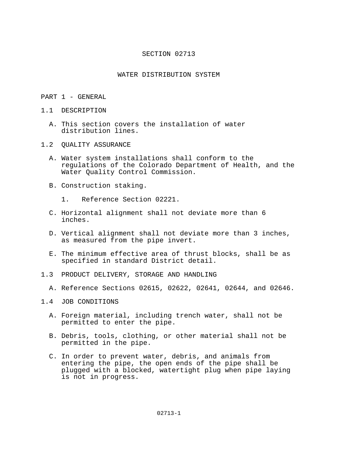#### SECTION 02713

#### WATER DISTRIBUTION SYSTEM

- PART 1 GENERAL
- 1.1 DESCRIPTION
	- A. This section covers the installation of water distribution lines.
- 1.2 QUALITY ASSURANCE
	- A. Water system installations shall conform to the regulations of the Colorado Department of Health, and the Water Quality Control Commission.
	- B. Construction staking.
		- 1. Reference Section 02221.
	- C. Horizontal alignment shall not deviate more than 6 inches.
	- D. Vertical alignment shall not deviate more than 3 inches, as measured from the pipe invert.
	- E. The minimum effective area of thrust blocks, shall be as specified in standard District detail.
- 1.3 PRODUCT DELIVERY, STORAGE AND HANDLING
	- A. Reference Sections 02615, 02622, 02641, 02644, and 02646.
- 1.4 JOB CONDITIONS
	- A. Foreign material, including trench water, shall not be permitted to enter the pipe.
	- B. Debris, tools, clothing, or other material shall not be permitted in the pipe.
	- C. In order to prevent water, debris, and animals from entering the pipe, the open ends of the pipe shall be plugged with a blocked, watertight plug when pipe laying is not in progress.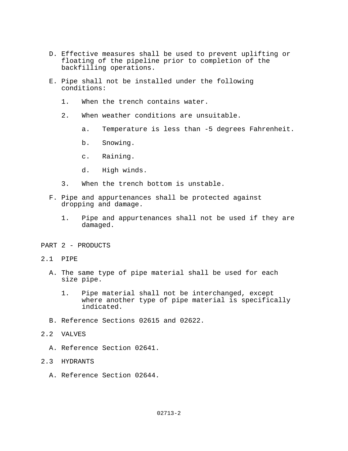- D. Effective measures shall be used to prevent uplifting or floating of the pipeline prior to completion of the backfilling operations.
- E. Pipe shall not be installed under the following conditions:
	- 1. When the trench contains water.
	- 2. When weather conditions are unsuitable.
		- a. Temperature is less than -5 degrees Fahrenheit.
		- b. Snowing.
		- c. Raining.
		- d. High winds.
	- 3. When the trench bottom is unstable.
- F. Pipe and appurtenances shall be protected against dropping and damage.
	- 1. Pipe and appurtenances shall not be used if they are damaged.
- PART 2 PRODUCTS
- 2.1 PIPE
	- A. The same type of pipe material shall be used for each size pipe.
		- 1. Pipe material shall not be interchanged, except where another type of pipe material is specifically indicated.
	- B. Reference Sections 02615 and 02622.
- 2.2 VALVES
	- A. Reference Section 02641.
- 2.3 HYDRANTS
	- A. Reference Section 02644.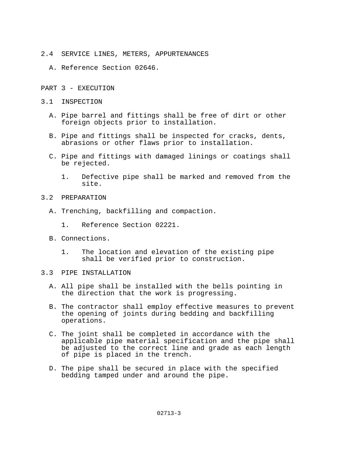- 2.4 SERVICE LINES, METERS, APPURTENANCES
	- A. Reference Section 02646.
- PART 3 EXECUTION
- 3.1 INSPECTION
	- A. Pipe barrel and fittings shall be free of dirt or other foreign objects prior to installation.
	- B. Pipe and fittings shall be inspected for cracks, dents, abrasions or other flaws prior to installation.
	- C. Pipe and fittings with damaged linings or coatings shall be rejected.
		- 1. Defective pipe shall be marked and removed from the site.
- 3.2 PREPARATION
	- A. Trenching, backfilling and compaction.
		- 1. Reference Section 02221.
	- B. Connections.
		- 1. The location and elevation of the existing pipe shall be verified prior to construction.
- 3.3 PIPE INSTALLATION
	- A. All pipe shall be installed with the bells pointing in the direction that the work is progressing.
	- B. The contractor shall employ effective measures to prevent the opening of joints during bedding and backfilling operations.
	- C. The joint shall be completed in accordance with the applicable pipe material specification and the pipe shall be adjusted to the correct line and grade as each length of pipe is placed in the trench.
	- D. The pipe shall be secured in place with the specified bedding tamped under and around the pipe.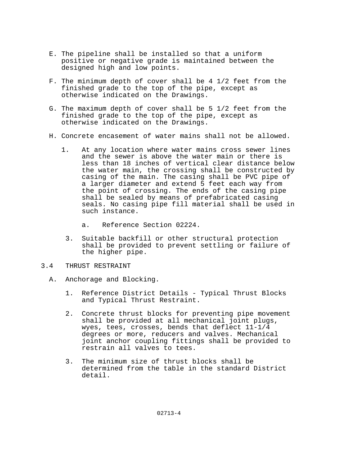- E. The pipeline shall be installed so that a uniform positive or negative grade is maintained between the designed high and low points.
- F. The minimum depth of cover shall be 4 1/2 feet from the finished grade to the top of the pipe, except as otherwise indicated on the Drawings.
- G. The maximum depth of cover shall be 5 1/2 feet from the finished grade to the top of the pipe, except as otherwise indicated on the Drawings.
- H. Concrete encasement of water mains shall not be allowed.
	- 1. At any location where water mains cross sewer lines and the sewer is above the water main or there is less than 18 inches of vertical clear distance below the water main, the crossing shall be constructed by casing of the main. The casing shall be PVC pipe of a larger diameter and extend 5 feet each way from the point of crossing. The ends of the casing pipe shall be sealed by means of prefabricated casing seals. No casing pipe fill material shall be used in such instance.
		- a. Reference Section 02224.
		- 3. Suitable backfill or other structural protection shall be provided to prevent settling or failure of the higher pipe.
- 3.4 THRUST RESTRAINT
	- A. Anchorage and Blocking.
		- 1. Reference District Details Typical Thrust Blocks and Typical Thrust Restraint.
		- 2. Concrete thrust blocks for preventing pipe movement shall be provided at all mechanical joint plugs, wyes, tees, crosses, bends that deflect 11-1/4 degrees or more, reducers and valves. Mechanical joint anchor coupling fittings shall be provided to restrain all valves to tees.
		- 3. The minimum size of thrust blocks shall be determined from the table in the standard District detail.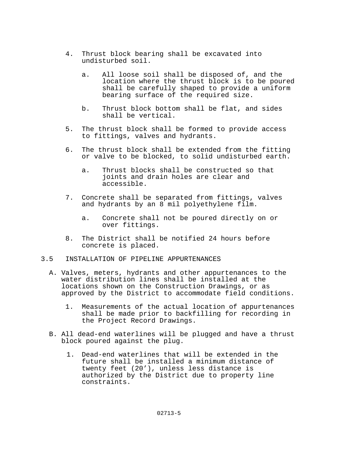- 4. Thrust block bearing shall be excavated into undisturbed soil.
	- a. All loose soil shall be disposed of, and the location where the thrust block is to be poured shall be carefully shaped to provide a uniform bearing surface of the required size.
	- b. Thrust block bottom shall be flat, and sides shall be vertical.
- 5. The thrust block shall be formed to provide access to fittings, valves and hydrants.
- 6. The thrust block shall be extended from the fitting or valve to be blocked, to solid undisturbed earth.
	- a. Thrust blocks shall be constructed so that joints and drain holes are clear and accessible.
- 7. Concrete shall be separated from fittings, valves and hydrants by an 8 mil polyethylene film.
	- a. Concrete shall not be poured directly on or over fittings.
- 8. The District shall be notified 24 hours before concrete is placed.
- 3.5 INSTALLATION OF PIPELINE APPURTENANCES
	- A. Valves, meters, hydrants and other appurtenances to the water distribution lines shall be installed at the locations shown on the Construction Drawings, or as approved by the District to accommodate field conditions.
		- 1. Measurements of the actual location of appurtenances shall be made prior to backfilling for recording in the Project Record Drawings.
	- B. All dead-end waterlines will be plugged and have a thrust block poured against the plug.
		- 1. Dead-end waterlines that will be extended in the future shall be installed a minimum distance of twenty feet (20'), unless less distance is authorized by the District due to property line constraints.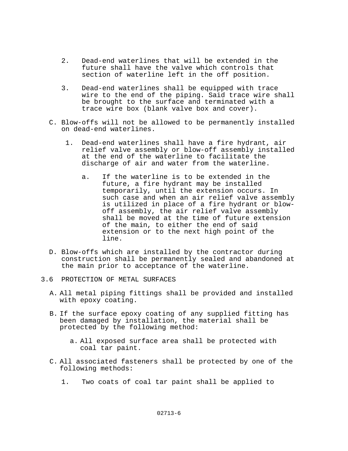- 2. Dead-end waterlines that will be extended in the future shall have the valve which controls that section of waterline left in the off position.
- 3. Dead-end waterlines shall be equipped with trace wire to the end of the piping. Said trace wire shall be brought to the surface and terminated with a trace wire box (blank valve box and cover).
- C. Blow-offs will not be allowed to be permanently installed on dead-end waterlines.
	- 1. Dead-end waterlines shall have a fire hydrant, air relief valve assembly or blow-off assembly installed at the end of the waterline to facilitate the discharge of air and water from the waterline.
		- a. If the waterline is to be extended in the future, a fire hydrant may be installed temporarily, until the extension occurs. In such case and when an air relief valve assembly is utilized in place of a fire hydrant or blowoff assembly, the air relief valve assembly shall be moved at the time of future extension of the main, to either the end of said extension or to the next high point of the line.
- D. Blow-offs which are installed by the contractor during construction shall be permanently sealed and abandoned at the main prior to acceptance of the waterline.
- 3.6 PROTECTION OF METAL SURFACES
	- A. All metal piping fittings shall be provided and installed with epoxy coating.
	- B. If the surface epoxy coating of any supplied fitting has been damaged by installation, the material shall be protected by the following method:
		- a. All exposed surface area shall be protected with coal tar paint.
	- C. All associated fasteners shall be protected by one of the following methods:
		- 1. Two coats of coal tar paint shall be applied to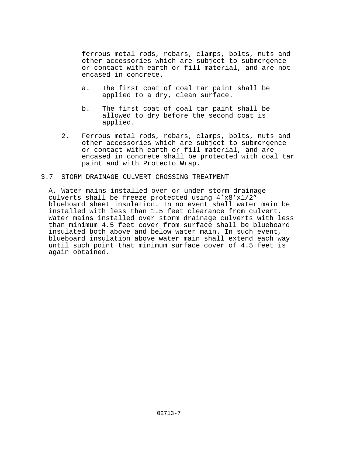ferrous metal rods, rebars, clamps, bolts, nuts and other accessories which are subject to submergence or contact with earth or fill material, and are not encased in concrete.

- a. The first coat of coal tar paint shall be applied to a dry, clean surface.
- b. The first coat of coal tar paint shall be allowed to dry before the second coat is applied.
- 2. Ferrous metal rods, rebars, clamps, bolts, nuts and other accessories which are subject to submergence or contact with earth or fill material, and are encased in concrete shall be protected with coal tar paint and with Protecto Wrap.

### 3.7 STORM DRAINAGE CULVERT CROSSING TREATMENT

A. Water mains installed over or under storm drainage culverts shall be freeze protected using 4'x8'x1/2" blueboard sheet insulation. In no event shall water main be installed with less than 1.5 feet clearance from culvert. Water mains installed over storm drainage culverts with less than minimum 4.5 feet cover from surface shall be blueboard insulated both above and below water main. In such event, blueboard insulation above water main shall extend each way until such point that minimum surface cover of 4.5 feet is again obtained.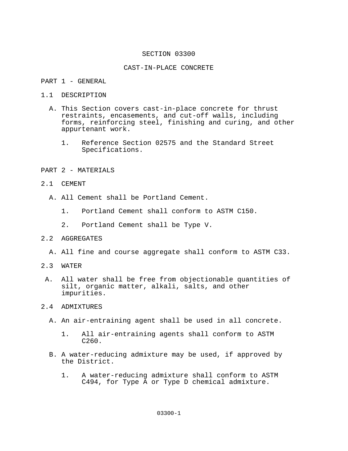#### SECTION 03300

#### CAST-IN-PLACE CONCRETE

### PART 1 - GENERAL

#### 1.1 DESCRIPTION

- A. This Section covers cast-in-place concrete for thrust restraints, encasements, and cut-off walls, including forms, reinforcing steel, finishing and curing, and other appurtenant work.
	- 1. Reference Section 02575 and the Standard Street Specifications.

### PART 2 - MATERIALS

- 2.1 CEMENT
	- A. All Cement shall be Portland Cement.
		- 1. Portland Cement shall conform to ASTM C150.
		- 2. Portland Cement shall be Type V.

### 2.2 AGGREGATES

- A. All fine and course aggregate shall conform to ASTM C33.
- 2.3 WATER
- A. All water shall be free from objectionable quantities of silt, organic matter, alkali, salts, and other impurities.

### 2.4 ADMIXTURES

- A. An air-entraining agent shall be used in all concrete.
	- 1. All air-entraining agents shall conform to ASTM C260.
- B. A water-reducing admixture may be used, if approved by the District.
	- 1. A water-reducing admixture shall conform to ASTM C494, for Type A or Type D chemical admixture.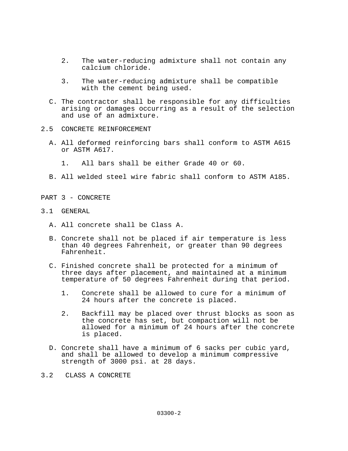- 2. The water-reducing admixture shall not contain any calcium chloride.
- 3. The water-reducing admixture shall be compatible with the cement being used.
- C. The contractor shall be responsible for any difficulties arising or damages occurring as a result of the selection and use of an admixture.
- 2.5 CONCRETE REINFORCEMENT
	- A. All deformed reinforcing bars shall conform to ASTM A615 or ASTM A617.
		- 1. All bars shall be either Grade 40 or 60.
	- B. All welded steel wire fabric shall conform to ASTM A185.
- PART 3 CONCRETE
- 3.1 GENERAL
	- A. All concrete shall be Class A.
	- B. Concrete shall not be placed if air temperature is less than 40 degrees Fahrenheit, or greater than 90 degrees Fahrenheit.
	- C. Finished concrete shall be protected for a minimum of three days after placement, and maintained at a minimum temperature of 50 degrees Fahrenheit during that period.
		- 1. Concrete shall be allowed to cure for a minimum of 24 hours after the concrete is placed.
		- 2. Backfill may be placed over thrust blocks as soon as the concrete has set, but compaction will not be allowed for a minimum of 24 hours after the concrete is placed.
	- D. Concrete shall have a minimum of 6 sacks per cubic yard, and shall be allowed to develop a minimum compressive strength of 3000 psi. at 28 days.
- 3.2 CLASS A CONCRETE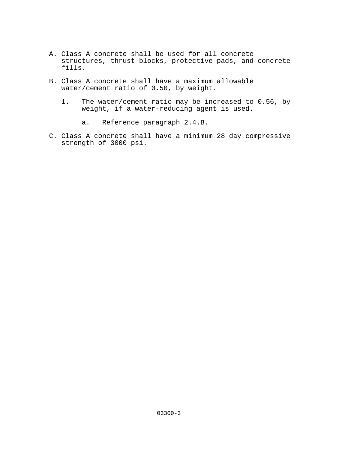- A. Class A concrete shall be used for all concrete structures, thrust blocks, protective pads, and concrete fills.
- B. Class A concrete shall have a maximum allowable water/cement ratio of 0.50, by weight.
	- 1. The water/cement ratio may be increased to 0.56, by weight, if a water-reducing agent is used.
		- a. Reference paragraph 2.4.B.
- C. Class A concrete shall have a minimum 28 day compressive strength of 3000 psi.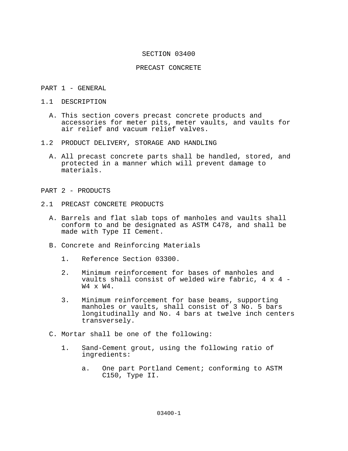#### SECTION 03400

#### PRECAST CONCRETE

#### PART 1 - GENERAL

- 1.1 DESCRIPTION
	- A. This section covers precast concrete products and accessories for meter pits, meter vaults, and vaults for air relief and vacuum relief valves.
- 1.2 PRODUCT DELIVERY, STORAGE AND HANDLING
	- A. All precast concrete parts shall be handled, stored, and protected in a manner which will prevent damage to materials.

#### PART 2 - PRODUCTS

- 2.1 PRECAST CONCRETE PRODUCTS
	- A. Barrels and flat slab tops of manholes and vaults shall conform to and be designated as ASTM C478, and shall be made with Type II Cement.
	- B. Concrete and Reinforcing Materials
		- 1. Reference Section 03300.
		- 2. Minimum reinforcement for bases of manholes and vaults shall consist of welded wire fabric, 4 x 4 - W4 x W4.
		- 3. Minimum reinforcement for base beams, supporting manholes or vaults, shall consist of 3 No. 5 bars longitudinally and No. 4 bars at twelve inch centers transversely.
	- C. Mortar shall be one of the following:
		- 1. Sand-Cement grout, using the following ratio of ingredients:
			- a. One part Portland Cement; conforming to ASTM C150, Type II.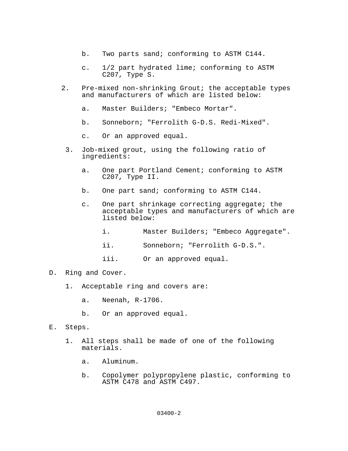- b. Two parts sand; conforming to ASTM C144.
- c. 1/2 part hydrated lime; conforming to ASTM C207, Type S.
- 2. Pre-mixed non-shrinking Grout; the acceptable types and manufacturers of which are listed below:
	- a. Master Builders; "Embeco Mortar".
	- b. Sonneborn; "Ferrolith G-D.S. Redi-Mixed".
	- c. Or an approved equal.
	- 3. Job-mixed grout, using the following ratio of ingredients:
		- a. One part Portland Cement; conforming to ASTM C207, Type II.
		- b. One part sand; conforming to ASTM C144.
		- c. One part shrinkage correcting aggregate; the acceptable types and manufacturers of which are listed below:
			- i. Master Builders; "Embeco Aggregate".
			- ii. Sonneborn; "Ferrolith G-D.S.".
			- iii. Or an approved equal.

### D. Ring and Cover.

- 1. Acceptable ring and covers are:
	- a. Neenah, R-1706.
	- b. Or an approved equal.
- E. Steps.
	- 1. All steps shall be made of one of the following materials.
		- a. Aluminum.
		- b. Copolymer polypropylene plastic, conforming to ASTM C478 and ASTM C497.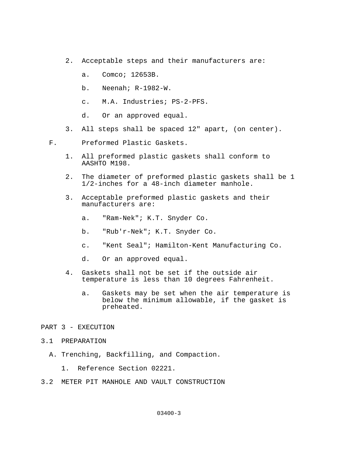- 2. Acceptable steps and their manufacturers are:
	- a. Comco; 12653B.
	- b. Neenah; R-1982-W.
	- c. M.A. Industries; PS-2-PFS.
	- d. Or an approved equal.
- 3. All steps shall be spaced 12" apart, (on center).
- F. Preformed Plastic Gaskets.
	- 1. All preformed plastic gaskets shall conform to AASHTO M198.
	- 2. The diameter of preformed plastic gaskets shall be 1 1/2-inches for a 48-inch diameter manhole.
	- 3. Acceptable preformed plastic gaskets and their manufacturers are:
		- a. "Ram-Nek"; K.T. Snyder Co.
		- b. "Rub'r-Nek"; K.T. Snyder Co.
		- c. "Kent Seal"; Hamilton-Kent Manufacturing Co.
		- d. Or an approved equal.
	- 4. Gaskets shall not be set if the outside air temperature is less than 10 degrees Fahrenheit.
		- a. Gaskets may be set when the air temperature is below the minimum allowable, if the gasket is preheated.

### PART 3 - EXECUTION

- 3.1 PREPARATION
	- A. Trenching, Backfilling, and Compaction.
		- 1. Reference Section 02221.
- 3.2 METER PIT MANHOLE AND VAULT CONSTRUCTION